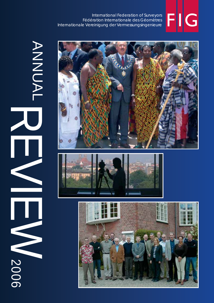# FIIG

ANNUAL REVIEW ANNUAL  $\overline{\mathbf{L}}$ 2006 2006



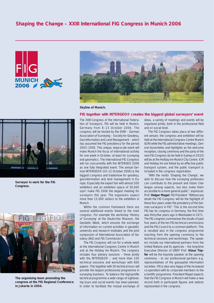



**Skyline of Munich.**

#### **FIG together with INTERGEO® creates the biggest global surveyors' event**



**Surveyor in work for the FIG Congress.**



**The organising team promoting the congress at the FIG Regional Conference in Jakarta in 2004.**

The XXIII Congress of the International Federation of Surveyors, FIG will be held in Munich, Germany from 8–13 October 2006. The congress will be hosted by the DVW – German Association of Surveying – Society for Geodesy, Geo-Information and Land Management – which has assumed the FIG presidency for the period 2003–2006. This unique, large-scale event will make Munich the focus of international activity for one week in October, at least for surveying and geomatics. The International FIG Congress will run concurrently with the INTERGEO 2006 as one fully integrated event. The annual German INTERGEO® (10–12 October 2006) is the biggest congress and tradeshow for geodesy, geo-information and land management in Europe. Especially the expert fair with almost 500 exhibitors and an exhibition space of 30,000 sqm2 make FIG 2006 the largest meeting for surveyors this year. The organisers expect more than 15,000 visitors to the exhibition in Munich.

Within the common framework there are several additional events linked to the main congress. For example the workshop 'History of Surveying' at the Deutsches Museum, the Geodetic Week, which ensures the exchange of information on current activities in geodetic university and research institutes and the joint symposium of International Association of Geodesy (IAG) and FIG Commission 5.

The FIG Congress will run for a whole week at the International Congress Centre in Munich and at the Holiday Inn Munich. The congress includes four plenary sessions – three jointly with the INTERGEO® – and more than 100 technical sessions and workshops with 600 papers. This together with 30 technical tours will provide the largest professional programme in surveying business. To balance the high-profile technical programme a wide range of sightseeing tours and social events has been planned. In order to facilitate the mutual exchange of ideas, a variety of meetings and events will be organised jointly, both in the professional field and on social level.

The FIG Congress takes place at two different venues: the congress and exhibition will be held at the International Congress Centre Munich (ICM) while the FIG administrative meetings, General Assemblies and highlights as the welcome reception, closing ceremony and the party of the next FIG Congress (to be held in Sydney in 2010) will be at the Holiday Inn Munich City Centre. ICM and Holiday Inn are linked by an effective public transport system, and the public transport is included in the congress registration.

"With the motto 'Shaping the Change', we wish to discuss how the surveying profession can contribute to the present and future challenges among experts, but also make them accessible to a more general public", expresses Prof. **Holger Magel**, FIG President "Without any doubt the FIG Congress will be the highlight of these four years under the presidency of the German surveyors in FIG". This is the second time FIG has its congress in Germany, the first time was thirty-five years ago in Wiesbaden in 1971. The FIG congress summarizes the results of past four years of the ten FIG technical commissions and the FIG Council to a common platform. This is resulted also in the congress programme reaching from the opening ceremony to the technical sessions and workshops. The speakers include our international partners from the United Nations and its agencies – the long-time Executive Director of UNEP Prof. **Klaus Töpfer** will be the keynote speaker at the opening ceremony – to our professional partners e.g. representatives of the geospatial information societies. FIG is also very happy of the increased co-operation with its corporate members to the scientific programme. President Magel expects that the FIG Congress in Munich will make a new record both in participant figures and nations represented in the congress.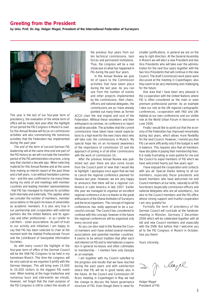#### **Greeting from the President**

**by Univ. Prof. Dr.-Ing. Holger Magel, President of the International Federation of Surveyors**



This year is the last of our four-year term of presidency, the evaluation of the whole term of office will be made next year after the highlight of our period the FIG Congress in Munich is over. So this Annual Review will focus on commission activities and also summarizing the numerous activities that the Federation has implemented during the past year.

The end of the term of second German FIG leadership will at the same time end one part of the FIG history as we will conclude the transition period of the FIG administration structure, a long way that started a decade ago. When selecting material for this Annual Review and at the same time making an interim report of the past three and a half years, I can without hesitation summarise – and this was confirmed to me many times during my visits of and meetings with member countries and leading member representatives - that FIG has managed to improve its activities both internally and externally. This applies when we consider the number of members, member associations or the quick increase of universities as academic members. It is also very true in our partnership and co-operation with external partners like the United Nations and its agencies and other professional – or as I prefer to call them – sister associations. As part of trust to our activity and initiatives I am happy to say that FIG has been selected to chair at the moment both the Habitat Professionals Forum and the Joint-Board of Geospatial Information Societies.

As with every council the highlight of the four-year term of office of the German Council will be the XXIII FIG Congress to be held in my hometown Munich. This time the congress will be very special as we organise it jointly with the German Intergeo. This will bring even 15,000 to 20,000 visitors to the biggest FIG event ever. When looking at the huge tradeshow and numerous tours and side-events we should, however, not forget that the main purpose of the FIG Congress is still to collect the results of the previous four years from our ten technical commissions, task forces and permanent institutions. Thus, the congress will be a real showcase on what has happened in FIG during the past four years.

In this Annual Review we give lot of space to the Commission activities that have taken place during the last year. As you can see from the number of events and other projects implemented by the commissions, their chairs, officers and national delegates, the commissions are as I have already pointed out many times as former

ACCO chair the real engine and soul of the Federation. Without these volunteers and their enthusiasm no seminar, no conference or report would be possible. The activities that the current commissions have taken have raised expectations to a high level for the new chairs elect who will take over the commissions in Munich. My special hope lies on an increased awareness of the importance of commission 10 and the approach of joining in of all other commissions with the work of commission 10.

After the previous Annual Review was published last year there are also some issues from the Council point of view that I would like to highlight. I apologise once again that we had to cancel the regional conference planned for Havana last year. However, we are very happy to announce that there will be a regional conference in Latin America in late 2007. Earlier this year we managed to organise an excellent regional conference in Accra thanks to the great enthusiasm of the Ghana Institution of Surveyors and the local organizers. The concept of regional conferences has really approved to be a successful concept. The Council has considered to continue with this concept, however in the future the regional conferences will be organized only every second year.

As you can also read in this Review the Council members and I have visited several member associations and potential member countries. It seems to be almost tradition that after each visit interest on FIG and to international co-operation in general increases and often culminates to membership – I mention here only Georgia as an example.

I am together with my Council satisfied to the progress and results that we have reached during the past years and with satisfaction notice that FIG will be in good hands also in the future. At the Council and Commission Officers meeting in Copenhagen in May we had the change to discuss the future governance structure of FIG. Even though there is need for smaller justifications, in general we are on the way to right direction. At the General Assembly in Munich we will elect a new President and two Vice Presidents who will take over the administration for the next four years together with the two Vice Presidents that will continue in the new Council. The draft Commission work plans were discussed at the meeting in Copenhagen, also they seem to be very interesting and challenging for the future.

One area that I have been very pleased is the co-operation with the United Nations where FIG is often considered as the main or even premium professional partner. As an example I take our role at the UN regional cartographic conferences, co-operation with FAO and UN-Habitat at our own conferences and our visible role at the World Urban Forum in Vancouver in June 2006.

Finally I would like to point out that the economy of the Federation has improved remarkably during last years, which allows more flexibility for the next Council. However, I remind you that FIG can work efficiently only if the budget is well in balance. This requires also that all members have discipline in paying their membership fees. It is really frustrating or even painful for me and the Council to expel members of FIG which we have welcomed hearty just few years ago!

I have enjoyed the cooperation and contacts with you all. Special thanks belong to all our members, especially those presidents and board members who have welcomed me and Council members at our visits, naturally to all FIG functioners (especially commission officers and national delegates who are all volunteers),, but also to the Council members and the FIG office whose strong support and trustful cooperation I am very grateful for.

Formally the term of presidency of the German Council will conclude at the handover meeting in Münster, Germany 2 December 2006 which will be celebrated together with all old and new Council members and especially with the DVW. But before that I welcome you all to the FIG Congress in Munich in October. See you there!

Yours sincerely,

D. J. Clape

Holger Magel President of FIG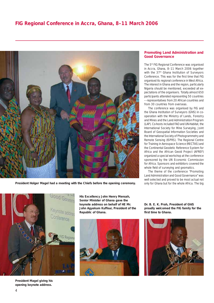

**President Holger Magel had a meeting with the Chiefs before the opening ceremony.** only for Ghana but for the whole Africa. The big



**President Magel giving his opening keynote address.**

**His Excellency John Henry Mensah, Senior Minister of Ghana gave the keynote address on behalf of HE Mr. John Agyekum Kuffour, President of the Republic of Ghana.**



**Promoting Land Administration and Good Governance**

The 5<sup>th</sup> FIG Regional Conference was organised in Accra, Ghana, 8–11 March 2006 together with the 37<sup>th</sup> Ghana Institution of Surveyors Conference. This was for the first time that FIG organised its regional conference in West Africa. The interest in Ghana and the region, particularly Nigeria should be mentioned, exceeded all expectations of the organisers. Totally almost 650 participants attended representing 50 countries –- representatives from 20 African countries and from 30 countries from overseas.

The conference was organised by FIG and the Ghana Institution of Surveyors (GhIS) in cooperation with the Ministry of Lands, Forestry and Mines and the Land Administration Program (LAP). Co-hosts included FAO and UN-Habitat, the International Society for Mine Surveying, Joint Board of Geospatial Information Societies and the International Society of Photogrammetry and Remote Sensing (ISPRS). The Regional Centre for Training in Aerospace Science (RECTAS) and the Continental Geodetic Reference System for Africa and the African Geoid Project (AFREF) organized a special workshop at the conference sponsored by the UN Economic Commission for Africa. Sponsors and exhibitors covered the whole field of surveying and geomatics.

The theme of the conference "Promoting Land Administration and Good Governance" was well selected and proved to be most actual not

**Dr. B. E. K. Prah, President of GhIS proudly welcomed the FIG family for the**  first time to Ghana.

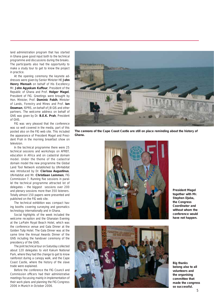land administration program that has started in Ghana gave good input both to the technical programme and discussions during the breaks. The participants also had the opportunity to make a study tour to get to know the project in practice.

At the opening ceremony the keynote addresses were given by Senior Minister HE **John Henry Mensah** on behalf of His Excellency Mr. **John Agyekum Kuffour**, President of the Republic of Ghana and Prof. **Holger Magel**, President of FIG. Greetings were brought by Hon. Minister, Prof. **Dominic Fobih**, Minister of Lands, Forestry and Mines and Prof. **Ian Dowman**, ISPRS, on behalf of JB GIS and other partners. The welcome address on behalf of GhIS was given by Dr. **B.E.K. Prah**, President of GhIS.

FIG was very pleased that the conference was so well covered in the media, part of this posted also on the FIG web site. This included the appearance of President Magel and President Prah in the morning breakfast show on television.

In the technical programme there were 25 technical sessions and workshops on AFREF, education in Africa and on cadastral domain model. Under the theme of the cadastral domain model the new programme the Global Land Tool Network established by UN-Habitat was introduced by Dr. **Clarissa Augustinus**, UN-Habitat and Mr. **Christiaan Lemmen**, FIG Commission 7. Running five sessions in parallel the technical programme attracted lot of delegates – the biggest sessions over 200 and plenary sessions more than 350 listeners. Totally almost 150 papers were presented and published on the FIG web site.

The technical exhibition was compact having booths covering surveying and geomatics technology internationally and in Ghana.

Social highlights of the week included the welcome reception and the Ghanaian Evening at the La-Palm Royal Beach Hotel, which was the conference venue and Gala Dinner at the Golden Tulip Hotel. The Gala Dinner was at the same time the Annual Awards Dinner of the GhIS including the handover ceremony of the presidency of the GhIS.

The joint technical tour on Saturday collected about 120 delegates to visit Kakum National Park, where they had the change to get to know rainforest during a canopy walk, and the Cape Coast Castle, where the history of the slave trade were explained.

Before the conference the FIG Council and Commission officers had their administrative meetings focussing mainly in implementation of their work plans and planning the FIG Congress 2006 in Munich in October 2006.



**The cannons of the Cape Coast Castle are still on place reminding about the history of Ghana.**



**President Magel together with Mr. Stephen Djaba, the Congress Coordinator and without whom the conference would have not happen.**



**Big thanks belong also to all volunteers and the organising committee that made the congress so successful.**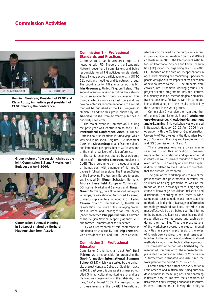

**Henning Elmstrøm, President of CLGE and Klaus Rürup, immediate past president of CLGE chairing the conference.**



**Group picture of the session chairs at the joint Commission 2,3 and 7 workshop in Budapest in April 2006.**



**Commission 3 Annual Meeting in Budapest chaired by Gerhard Muggenhuber from Austria.**

#### **Commission 1 – Professional Standards and Practices**

Commission 1 has hosted two important networks with FIG. These are the Standards Network covering all commissions and being responsible for all FIG activities on standards. These include active participation e.g. in ISO TC 211 work and meetings and its outreach group. The coordinator for FIG standards work is Mr. **Iain Greenway**, United Kingdom/Ireland. The second inter-commission activity is the Network on Under-represented groups in surveying. This group started its work as a task force and has now collected its recommendations to a report that will be published at the FIG Congress in Munich. In addition this group chaired by Ms. **Gabriele Dasse** from Germany publishes a quarterly newsletter.

The major event in Commission 1 during the past year was contribution to the **CLGE International Conference 2005** "European Professional Qualifications in Surveying" which was held in Brussels, Belgium, 1–2 December 2005. Mr. **Klaus Rürup**, chair of Commission 1 and immediate past president of CLGE was one of the main organisers of this conference.

The conference was opened by a welcome address of Mr. **Henning Elmstrøm**, President of CLGE. The programme then included a number of themes each with a number of high profile papers in following sessions: The Present Status of the Surveying Profession in Europe (presenters included Dr. **Otmar Schuster**, Germany, **Andrea Liesenfeld**, European Commission DG Internal Market and Services and **Hagen Graeff**, Germany); Free Movement of Surveyors in Europe; Qualification for Authorised (Licensed) Surveyors (presenters included Prof. **Pedro Cavero**, Chair of Commission 2); Models for Qualification: The Future of the Surveying Profession in Europe; and Challenges for Civil Society (paper presented **Philippe Busquin**, Chairman of the Belgian National Mapping Agency, MEP and former Commissioner for Research).

FIG was represented at this conference in addition to Klaus Rürup by Prof. **Stig Enemark**, Vice President of FIG and Prof. Pedro Cavero.

#### **Commission 2 – Professional Education**

Commission 2 and its chair elect Prof. **Belá Márkus** were responsible for organising the **Geoinformation International Summer School** (GISS) which was started by the University of West Hungary, College of Geoinformatics in 2001. Last year this one week summer school titled GI in agricultural monitoring and land use planning was organised in Székesfehérvár, Hungary, 12–19 August 2005. The main promoter of these events is the UNIGIS International,

which is co-ordinated by the European Masters in Geographical Information Science (EMGISc) consortium. In 2003, the International Institute for Geo-Information Science and Earth Observation (ITC) joined the organizing team. In 2005 GISS focused on the area of GIS applications in agricultural planning and monitoring. Special emphasis was given to the impacts of the accession of new countries to the EU. The students were enrolled into 3 thematic working groups. The project-oriented programme included lectures in a plenary session, methodological seminars, training sessions, fieldwork, work in computer labs and presentation of the results achieved by the students in the work groups.

Commission 2 was also the main organizer of the joint Commission 2, 3 and 7 **Workshop on e-Governance, Knowledge Management and e-Learning**. This workshop was organised in Budapest, Hungary, 27–29 April 2006 in cooperation with the College of Geoinformatics, University of West Hungary, the Hungarian Society of Surveying, Mapping and Remote Sensing and FIG Commissions 2, 3 and 7.

Thirty presentations were given in nine sessions during this workshop. Speakers represented educational and governmental institutes as well as private foundations from all over Europe. The diversity of submitted papers is directly related to the 16 different countries that the authors represented.

The goal of the workshop was to reveal the present state of e-governmental activities, the solutions of arising problems as well as the trends-would-be. Nowadays there is high significance of knowledge acquisition, utilisation and distribution. According to this, there is widerange opportunity to update and renew teaching methods exploiting the advantage of information technology-provided facilities. Materials can most effectively be distributed over the Internet to the trainees and learning groups helping their preparation as well as supporting each other during their learning. Thus the presentations of the workshop covered the e-governmental activities in surveying profession, the roles of knowledge centres, their maintenances, facilities, furthermore the up-to-date educational methods including their technical backgrounds. This three-day workshop was finished by the meeting of Commission 2. The representatives presented the current activities of Commission 2, furthermore delineated and discussed the work plan for the period of 2006–2010.

Commission 2 has further been very active in Latin America and in Africa discussing curricula development in these regions and searching initiatives how to improve the conditions of universities and surveying educational institutes in these continents. Following the Bologna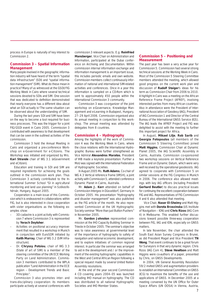process in Europe is naturally of key interest to Commission 2.

#### **Commission 3 – Spatial Information Management**

Many people involved in the geographic information industry will have heard of the term "spatial data infrastructure" (SDI) and "spatial information management" (SIM). What do these mean in practice? Many of us witnessed at the GSDI/FIG Working Week in Cairo where several technical sessions devoted to SDIs and SIM. One session that was dedicated to definition demonstrated that nearly everyone has a different idea about what an SDI actually is! The same situation can be observed about the understanding of SIM.

During the last years SDI and SIM have been on the way to become a tool required for business processes. This was the trigger for a joint FIG/GSDI event in Cairo 2005. Commission 3 contributed with awareness to that development that can be seen in the outlined activities of the commission.

Commission 3 hold the Annual Meeting in Cairo and organized a pre-conference Workshop on e-Government for e-Citizens. The Workshop was initiated and organized by Mrs. **Kari Strande** chair of WG 3.1 (eGovernment and eCitizen).

Education and training in SDI and SIM are required ingredients for achieving the goals outlined in the commission work plan. Thus Commission 3 actively contributed to the International Summer School "GI in agricultural monitoring and land use planning" in Székesfehérvár, Hungary, August 2005.

Cooperation is a main issue of this Commission which is endeavored in collaborations within FIG, but is also interested in close cooperation with sister organisations as the following examples show:

- 3D cadastre is a joint activity with Commission 7 where Commission 3 is represented by **Yerach Doytsher**.
- Activities on positional accuracy improvement that resulted in a workshop in Munich in conjunction with EuroSDR initiated by **Keith Murray**, Chair of WG 3.2 (SIM Infrastructure).
- Dr. **Chryssy Potsiou**, chair of WG 3.3 (State of art of SIM) is a member of the steering committee of the UN ECE Working Party on Land Administration. Commission 3 members contributed to the WPLA publication "Land Administration in the ECE region – Development Trends and Basic Principles".

Commission 3 also promotes inter- and trans-disciplinary cooperation: its members participate actively at several conferences with commission 3 relevant aspects. E.g. **Reinfried Mansberger**, Vice Chair on Administration and Information, participated at the Dubai conference on Archiving and Documentation. Within commission internal information exchange and information management is an important issue, this includes periodic emails and own website. Commission members collect continuously information of national and international SIM-related activities and conferences. Once in a year this information is sampled on a CD-Rom which is sent to approximately 450 people within the international Commission 3 community.

Commission 3 was co-organizer of the joint workshop on e-Governance, Knowledge Management and e-Learning in Budapest, Hungary, 27–29 April 2006. Commission organised also its annual meeting in conjunction to this workshop. The annual meeting was attended by delegates from 8 countries.

#### **Commission 4 – Hydrography**

Among the highlights of the work of Commission 4 was the Working Week in Cairo, where the close relations with the International Hydrographic Bureau were further strengthened as Vice Admiral **Alexandros Maratos**, President of IHB made a keynote presentation. Further a MoU was signed with the International Federation of Hydrographic Societies.

In August 2005 Ms. **Ruth Adams**, Co-chair of WG 4.3 Vertical reference frame (VRSH), a joint activity with Commission 5, attended conference Dynamic Planet in Cairns, Australia.

Mr. **Adam J. Kerr** attended on behalf of Commission Intergeo in Düsseldorf, Germany in October 2005. His presentation "Hydrography and disaster management" was also published as the FIG article of the month. He also represented Commission at the UK Hydrographic Society seminar "More than just Button Pushers" in November 2005.

Mr. **Gordon Johnston** represented commission at the IHO Capacity Building Seminar in Trieste in October 2005. The seminar's objective was to raise awareness at governmental level of the importance of hydrography to safety of navigation and national economic development, and to explore initiatives of common regional interest. In particular the seminar was arranged to aid in the development and / or the improvement of the existing hydrographic capabilities in the West and Central African Region following a special request made by several United Nation Assembly resolutions.

At the end of the year second Commission 4 CD covering years 2004–05 was launched including IHO manual on hydrography. The CD was distributed to all national Hydrographic Societies and IHO Member States.

#### **Commission 5 – Positioning and Measurement**

The past year has been a very active year for Commission 5. Commission had several strong technical sessions at the Working Week in Cairo. Most of the Commission 5 Steering Committee members attended the meeting, which allowed good progress on the current work plan and discussion of **Rudolf Staiger**'s ideas for his term as Commission Chair from 2006 to 2010. A highlight in Cairo was a meeting on the African Reference Frame Project (AFREF), involving interested parties from many African countries. Also in attendance were the President of International Association of Geodesy (IAG), President of IAG Commission 1 and Director of the Central Bureau of the International GNSS Service (IGS). The IAG leads the AFREF Project and FIG was delighted to assist with the meeting to further this important project for Africa.

In August, **Mikael Lilje**, **Rob Sarib** and **Georgia Fotopoulos** (all members of the Commission 5 Steering Committee) joined **Matt Higgins**, Commission Chair at Dynamic Planet 2005, the IAG Scientific Assembly in Cairns, Australia. Commission co-sponsored two workshop sessions on Vertical Reference Frame and on Dynamic Datum, which were very well received by the operational geodesists. IAG agreed to cooperate with Commission 5 on similar sessions at the FIG Congress in Munich in 2006. The conference also allowed meetings with key IAG officers (including President **Gerhard Beutler**) to discuss practical issues for continuing the excellent cooperation between FIG and IAG. Representatives of FIG Commission 4 and 6 also attended that meeting.

 Vice Chair, **Naser El-Sheimy** and Matt Higgins met with **Dorota Brzezinska** (US Institute of Navigation – ION) and **Chris Rizos** (IAG Com 4) in Melbourne. This enabled further discussions toward possible three-way cooperation between FIG, IAG and ION, especially on GNSS matters.

In late November, the chair attended the South East Asian Survey Congress in Brunei, as did President Magel and Vice President **TN Wong**. That event continues to be a great forum for Surveyors in that very dynamic region. Chris Rizos (IAG Com 4), **Steve Hewitson** and Matt Higgins were co-authors of a paper, presented by Chris, on GNSS Developments.

In 2004, UN General Assembly Resolution 59/2 invited GNSS and augmentation providers to establish an International Committee on GNSS (ICG) to maximize the benefits of the use and applications of GNSS. In December 2005 at a meeting convened by the UN Office for Outer Space Affairs (UN OOSA) in Vienna, Austria,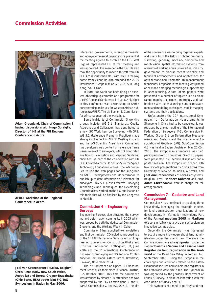

**Adam Greenland, Chair of Commission 4 having discussions with Hugo Gorziglia, Director of IHB at the FIG Regional Conference in Accra.**



**AFREF Workshop at the Regional Conference in Accra.**



**Joel Van Cranenbroeck (Leica, Belgium), Chris Rizos (Univ. New South Wales, Australia) and Dorota Grejner-Brzezinska (Ohio State, USA) at the joint FIG/IAG Symposium in Baden in May 2006.**

interested governments, inter-governmental and non-governmental organizations present at the meeting agreed to establish the ICG. Matt Higgins represented FIG at that meeting and was appointed FIG's member in the ICG. He also took the opportunity to meet with staff from UN OOSA to discuss their MoU with FIG. On the way home from Vienna he also attended the 2005 International Symposium on GPS/GNSS in Hong Kong, SAR China.

In 2006 Rob Sarib has been doing an excellent job setting up commission 5 programme for the FIG Regional Conference in Accra. A highlight at this conference was a workshop on AFREF concentrating on issues for Western Africa's subregion (WAFREF). The UN Economic Commission for Africa sponsored the workshop.

Some highlights of Commission 5 working groups include: WG 5.1 (Standards, Quality Assurance and Calibration) has contributed to a new ISO Work Item on Surveying with GPS; WG 5.2 (Reference Frame in Practice) made strong involvement in AFREF Meeting in Cairo and the IAG Scientific Assembly in Cairns and has developed web content on reference frame issues relevant to surveyors; WG 5.3 (Integrated Positioning, Navigation and Mapping Systems) chair has, as part of the co-operation with UN OOSA drafted a curricula on GNSS for the Space Technology Education Centres. The WG continues to use the web pages for the sub-group on GNSS Developments and Modernization to publish up to date information of relevance for surveyors. WG 5.4 (Cost Effective Surveying Technology and Techniques for Developing Countries) has worked on the FIG publication on this topic that will be finalized by the Congress in Munich.

#### **Commission 6 – Engineering Surveys**

Engineering Surveys also attracted the surveying and deformation community in 2005 which was proved by both the dedicated Commission 6 events and the Working Week in Cairo.

Commission 6 has launched two newsletters and first commission CD including proceedings of the 1<sup>st</sup> FIG International Symposium on Engineering Surveys for Construction Works and Structural Engineering, Nottingham, UK, June 2004 and the 3<sup>rd</sup> International Conference on Engineering Surveying and FIG Regional Conference for Central and Eastern Europe, Bratislava, Slovakia, November 2004.

The 7<sup>th</sup> Conference on Optical 3D Measurement Techniques took place in Vienna, Austria, 3–5 October 2005. This time the conference was attended by almost 500 attendees and was supported by the FIG Commissions 5 and 6, ISPRS Commission V, and IAG SC 4.2. The aim

of the conference was to bring together experts and users from the fields of photogrammetry, surveying, geodesy, machine-, computer- and robot- vision, spatial information systems from a variety of working areas (universities, industry, government) to discuss recent scientific and technical advancements and applications for optical static and kinematic 3D measurement techniques. Emphasis in the meeting was placed at new and emerging technologies, specifically in laser-scanning. A total of 95 papers were presented at a number of topics such as close range imaging techniques, metrology and calibration issues, laser scanning, surface measurement and modelling techniques, mobile mapping systems and their applications.

Unfortunately the 12<sup>th</sup> International Symposium on Deformation Measurements in Shandong in China had to be cancelled. It was replaced by a joint meeting of the International Federation of Surveyors (FIG), Commission 6, Working Group 6.1 on Deformation Measurements and Analysis and the International Association of Geodesy (IAG), Sub-Commission 4.2 was held in Baden, Austria on May 22–24, 2006. The symposium attendance was 140 participants from 35 countries. Over 120 papers were presented in 23 technical sessions and a poster session. The symposium opened with two keynote presentations by **Chris Rizos** from University of New South Wales, Australia, and **Joel Van Cranenbroeck** of Leica Geosystems, Belgium. Prof. **Heribert Kahmen** and Prof. **Adam Chrzanowski** were in charge for the arrangements.

#### **Commission 7 – Cadastre and Land Management**

Commission 7 has continued to act along three lines: firstly, identifying the strategic aspects for land administration organisations of new developments in information technology. Part of the **Annual meeting 2005 in Madison**  (Wisconsin, USA) was a two-day symposium on innovative technologies.

Secondly, the Commission was interested to acquire more knowledge about land administration under the Islamic law. Therefore the Commission organised a **symposium** under the slogan **Towards a Secure and Reliable Land Register on land registration in the Arab world** at the Dead Sea Valley in Jordan, 1–3 September 2005. During this Symposium the challenges and ambitions related to the establishment of secured and reliable land registers in the Arab world were discussed. The Symposium was organised by the Jordan's Department of Lands & Survey, in close collaboration with the Arab Union of Survey and FIG.

This symposium aimed to portray land reg-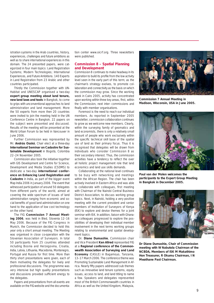istration systems in the Arab countries, history, experiences, challenges and future ambitions as well as to share international experiences in this domain. The 24 presented papers, were categorized in four main topics: Land Registration Systems; Modern Technologies; International Experiences, and Future Ambitions. 140 Experts in Land Registration from 23 Arabic and other countries participated.

Thirdly the Commission together with UN-Habitat and UNESCAP organised a two-day **expert group meeting about land tenure, new land laws and tools** in Bangkok, to come to grips with unconventional approaches to land administration and land management. More the 50 experts from more then 20 countries were invited to join the meeting held in the UN Conference Centre in Bangkok. 22 papers on the subject were presented and discussed. Results of the meeting will be presented at the World Urban Forum to be held in Vancouver in June 2006.

Further Commission was represented by Mr. **András Osskó**, Chair elect at a three-day **International Seminar on Cadastre for Sustainable Development** in Bogotá, Colombia 22–24 November 2005.

Commission also took the initiative together with GIS Development and Centre for Science, Development and Media Studies (CSDMS) to dedicate a two-day **international conference on Enhancing Land Registration and Cadastre** in India, as part of the bigger event Map India 2006 in January 2006. The event that witnessed participation of around 50 delegates from different parts of the world, aimed at covering the wide spectrum of issues of land administration ranging from economic and social benefits of good land administration on one hand to the application of low cost technology on the other hand.

The FIG **Commission 7 Annual Meeting 2006**, was held in Bled, Slovenia 12–16 May 2006. Because of the FIG Congress in Munich, the Commission decided to hold this year only a short annual meeting. The Meeting was organised in close co-operation with the Slovenian Association of Surveyors. In total 50 participants from 25 countries attended including Bosnia and Herzegovina, Croatia, India, Latvia, Lithuania, Macedonia, Montenegro, Portugal and Russia for first time. More than thirty short presentations were given, each of them motivating the delegates for lively and professional discussions. The programme was very intensive but high quality presentations and discussions provided sufficient energy to the delegates.

Papers and presentations from all events are available on the FIG-website and the documenta-

tion center www.oicrf.org. Three newsletters were published.

#### **Commission 8 – Spatial Planning and Development**

Commission 8 continues to make headway in its aspiration to build its profile from the low activity level seen in the early part of this term; as the chairman's strategy evolves, to promote collaboration and connectivity as the basis on which the commission may grow. Since the working week in Cairo 2005, activity has concentrated upon working within three key areas, first, within the Commission, next inter- commissions and finally with member organisations.

Foremost is the need to reach our individual members. As reported in September 2005 newsletter, commission collaboration continues to grow as we welcome new members. Clearly, within the surveying family of geomatics and land economists, there is only a relatively small amount of people who work exclusively within the specific technical skill base of the spatial use of land as their primary focus. Thus it is recognised that delegates will be drawn from individuals who consider Commission 8 as their secondary interest. Thus, the commission activities have a tendency to reflect the over all holistic project management role that land economics and land use skills demands.

Collaborating at the national level continues to be busy with networking and meetings within the African Region. The chair has been actively involved in Eastern Africa and was able to collaborate with colleagues, first meeting with Chairman of the Nairobi Central Business District Association, to discuss working group topics. Next, in Nairobi, holding a very positive meeting with the current president and senior members of Institution of Surveyors of Kenya (ISK) to explore and devise themes for a joint seminar with ISK. In addition, liaison with Ghanaian colleagues progressed to explore the possibilities of developing their individual member involvement in the next terms working groups relating to environmental and spatial development topics.

Dr. **Diane Dumashie**, Commission chair and Vice President **Ken Allred** represented FIG at a **Regional conference of the Commonwealth Association of Surveying and Land Economy** (CASLE) in Bagamoyo, Tanzania, 13–17 March 2006. The conference theme was *Promoting Sustainable Land Management in Af*rica. Nearly fifty papers addressed sub themes such as innovative land tenure systems, equity issues, access to land, and land titling to name a few. Speakers and delegates represented most of the British Commonwealth countries in Africa as well as the United Kingdom, Malaysia,



**Commission 7 Annual Meeting in Madison, Wisconsin, USA in June 2005.**



**Paul van der Molen welcomes the participants to the Expert Group Meeting in Bangkok in December 2005.**



**Dr Diane Dumashie, Chair of Commission meeting with W Nabutola Chairman of the NCBDA, Members of ISK M Makathimo Hon Treasurer, R Okumu Chairman, I N Mwathane Past Chairman.**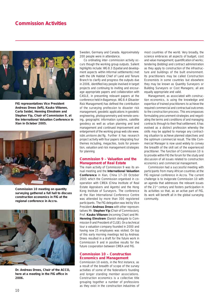

**FIG representatives Vice President Andreas Drees (left), Kauko Viitanen, Carla Seidel, Henning Elmstrøm and Stephen Yip, Chair of Commission 9, at the International Valuation Conference in Xian in Octeber 2005.**



**Commission 10 meeting on quantity surveying gathered a full hall to discuss construction economics in FIG at the regional conference in Accra.**



**Dr. Andreas Drees, Chair of the ACCO,**  here at a meeting in the FIG office in **2006.**

Sweden, Germany and Canada. Approximately 200 people were in attendance.

Co ordinating inter- commission activity occurs though the working group outputs. Salient highlights include: WG 8.3 (Spatial and development aspects within Informal settlements) met with the UN Habitat Chief of Land and Tenure Branch to clarify and progress the outputs due in 2006, identified key people involved in target projects and continuing to inviting and encourage appropriate papers and collaboration with CASLE, in presenting relevant papers at the conference held in Bagamoyo. WG 8.4 (Disaster Risk Management) has defined the contribution of the surveying profession to disaster risk management, geodetic applications in geodetic engineering, photogrammetry and remote sensing, geographic information systems, satellite geodesy as well as urban planning and land management and continued improvement and enlargement of the working group web site www. isbk.uni-bonn.de/fig. Further it has research project activity with four papers integrating four themes including, megacites, tools for prevention, valuation and risk management strategies for planning

#### **Commission 9 – Valuation and the Management of Real Estate**

The main activity of Commission 9 was its annual meeting and the **International Valuation Conference** in Xian, China 17–20 October 2005 which the Commission organised in cooperation with CIREA (China Institute of Real Estate Appraisers and Agents) and the Hong Kong Institute of Surveyors. The conference at the Xian International Conference Centre was attended by more than 300 registered participants. The FIG delegation was led by Vice President **Andreas Drees** with other representatives Mr. **Stephen Yip** (Chair of Commission), Prof. **Kauko Viitanen** (incoming Chair) and Mr. **Henning Elmstrøm** (Danish delegate to Commission 9 and President of CLGE). On a technical tour a valuation company founded in 2000 and having now 25 employees was visited. On top of this early morning meetings led by Andreas Drees resulted in a draft for the future work in Commission 9 and in positive results for the future cooperation between CIREA and FIG.

#### **Commission 10 – Construction Economics and Management**

Commission 10 exists, in the first instance, as a result of the breadth of scope of the survey activities of some of the federation's founding and longer standing member associations. Construction economics is a collective title grouping together a number of professions as they exist in the construction industries of

most countries of the world. Very broadly, the science embraces all aspects of budget, cost and value management; quantification of works; tendering (bidding) and contract administration as they apply to construction of the infrastructure and buildings of the built environment. Its practitioners may be called Construction Economists in some countries but elsewhere they may be known as Quantity Surveyors or Building Surveyors or Cost Managers; all are equally appropriate and valid.

Management, as associated with construction economics, is using the knowledge and expertise of trained practitioners to achieve the required commercial and contractual outcomes to the construction process. This encompasses formulating procurement strategies and negotiating the terms and conditions of and managing contracts through to their final settlement. It has evolved as a distinct profession whereby the skills may be applied to manage any contracting situation to achieve planned objectives and the optimum commercial result. The title Commercial Manager is now used widely to convey the breadth of the skill set of the experienced practitioner. The function of Commission 10 is to provide within FIG the forum for the study and discussion of all issues related to construction economics and commercial management.

Commission had a successful meeting with participants from many African countries at the FIG regional conference in Accra. The current challenge is to invigorate Commission 10 with an agenda that addresses the relevant issues of the 21st century and fosters participation in its activities so that, as an active part of FIG, its work will benefit all in the global surveying community.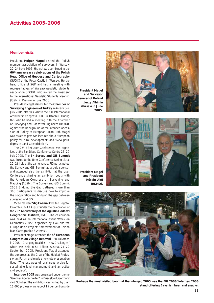#### **Activities 2005–2006**

#### **Member visits**

President **Holger Magel** visited the Polish member association of surveyors in Warsaw 22–24 June 2005. His visit was combined to the **60th anniversary celebrations of the Polish Head Office of Geodesy and Cartography** (GUGIK) at the Royal Castle in Warsaw. He the head office of SGP and had a meeting with representatives of Warsaw geodetic students association GEOIDA, who invited the President to the International Geodetic Students Meeting (IGSM) in Krakow in June 2006.

President Magel also visited the **Chamber of Surveying Engineers of Turkey** in Ankara 6–7 July 2005 after his visit to the XXII International Architects' Congress (UIA) in Istanbul. During this visit he had a meeting with the Chamber of Surveying and Cadastral Engineers (HKMO). Against the background of the intended accession of Turkey to European Union Prof. Magel was asked to give two lectures about "*European policy for rural development*" and "*New paradigms in Land Consolidation*".

The 25<sup>th</sup> ESRI User Conference was organised at the San Diego Conference Centre 25–29 July 2005. The **3rd Survey and GIS Summit** was linked to the User Conference taking place 22–26 July at the same venue. FIG participated the Survey and GIS Summit as a gold sponsor and attended also the exhibition at the User Conference sharing an exhibition booth with the American Congress on Surveying and Mapping (ACSM). The Survey and GIS Summit 2005 Bridging the Gap gathered more than 300 participants to discuss how to improve the co-operation and bridging the gap between surveying and GIS.

Vice-President **Stig Enemark** visited Bogotá, Colombia, 8–13 August under the celebration of the **70th Anniversary of the Agustín Codazzi Geographic Institute**, IGAC. The celebration was held as an international event "*Week on Geomatics 2005*", organized by IGAC and the Europe Union Project: "*Improvement of Colombian Cartographic Systems*".

President Magel attended the **5th European Congress on Village Renewal** – "*Rural Areas in 2005 – Changing Realities – New Challenges*" which was held in St. Pölten, Austria, 21–22 September 2005. President Magel attended the congress as the Chair of the Habitat Professionals Forum and made a keynote presentation titled: "*The resources of rural areas. A plea for sustainable land management and an active civil society*".

**Intergeo 2005** was organized under theme "Grenzen ûberschreiten" in Düsseldorf, Germany 4–6 October. The exhibition was visited by over 16,000 professionals (about 15 per cent outside

**President Magel and Surveyor General of Poland Jerzy Albin in Warsaw in June 2005.**





**President Magel and President Hüsein Ülkü (HKMO).**



**Perhaps the most visited booth at the Intergeo 2005 was the FIG 2006/Intergeo 2006 stand offering Bavarian beer and snacks.**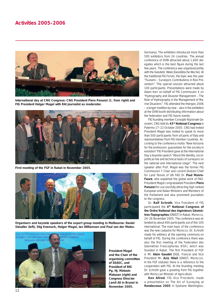#### **Activities 2005–2006**



**International day at CNG Congress: CNG President Piero Panunzi (1. from right) and FIG President Holger Magel with RAI journalist as moderator.**



**First meeting of the FGF in Rabat in November 2005.**



**Organisers and keynote speakers of the expert group meeting in Melbourne: Daniel Steudler (left), Stig Enemark, Holger Magel, Ian Williamson and Paul van der Molen.**



**President Magel and the Chair of the organising committee of SEASC, and President of BIG Pg. Hj. Matusin Matusan (right) and Congress Director Jamil Ali in Brunei in November 2005.**

Germany). The exhibition introduced more than 500 exhibitors from 24 countries. The annual conference of DVW attracted about 1,600 delegates which is the best figure during the last few years. The conference was organised jointly with the Geodetic Week (Geodätische Woche). At the traditional FIG Forum, the topic was this year "Tsunami – Surveyors Contributions in Risk Prevention". This special session attracted about 100 participants. Presentations were made by Adam Kerr on behalf of FIG Commission 4 on "Hydrography and Disaster Management – The Role of Hydrography in the Management of Marine Disasters". FIG attended the Intergeo 2006 – a longer tradition by now – also in the exhibition at the DVW booth distributing information about the federation and FIG future events.

FIG founding member Consiglio Nazionale Geometri, CNG held its **43rd National Congress** in Palermo 17–22 October 2005. CNG had invited President Magel was invited to speak to more than 500 participants from all parts of Italy and representatives from FIG member countries. According to the conference motto "*New horizons for the profession: guarantees for the society in evolution*" FIG President gave at the International Day a keynote speech "*About the identity, sociopolitical role and technical tasks of surveyors on the national and international stage*". The next speaker after Prof. Magel was the former FIG Commission 7 Chair and current Division Chief for Land Tenure of UN FAO Dr. **Paul Munro-Faure**, who explained the global work of FAO. President Magel congratulated President **Piero Panunzi** for successfully attracting high ranked European and Italian Ministers and Members of the Parliament and also prominent journalists to the congress.

Dr. **Ralf Schroth**, Vice President of FIG participated the **4th National Congress of the Ordre National des Ingénieurs Géomètres-Topographes** (ONIGT) in Rabat, Morocco, 24–26 November 2005. The conference was attended by about 400 participants out of this 100 international. The main topic of the conference was the new cadastre for Morocco. Dr. Schroth made his address at the opening ceremony on behalf of FIG. During the conference there was also the first meeting of the Federation des Géomètres Francophones (FGF), which was founded in Rabat. The first President of FGF is Mr. **Alain Gaudet** (OGE, France) and Vice President Mr. **Aziz Hilali** (ONIGT, Morocco). In the FGF statutes there is a reference to the cooperation with FIG. At the founding meeting Dr. Schroth gave a greeting from FIG together with Moroccan Minister of Agriculture.

**Ken Allred**, FIG Vice President, made a presentation on *The Art of Surveying* at **Rendezvous 2005** in Spokane Washington,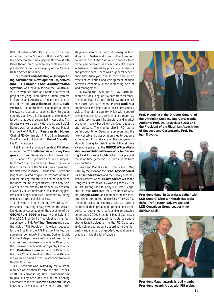USA, October 2005. Rendezvous 2005 was organized by the Surveyors Historical Society to commemorate "*Surveying the Northwest with David Thompson*." The three day conference had presentations on the surveying of the Canada United States boundary.

The **Expert Group Meeting on Incorporating Sustainable Development Objectives into ICT Enabled Land Administration Systems** was held in Melbourne, Australia, 9–11 November 2005 as a result of a research project analyzing Land Administration Systems in Europe and Australia. The project is conducted by Prof. **Ian Williamson** and Ms. **Jude Wallace**. The international expert group meeting was conducted to examine how European countries achieve this integration and to identify lessons that could be applied in Australia. The discussions were open, wide ranging and fruitful. Europe was represented by Prof. Holger Magel, President of FIG, Prof. **Paul van der Molen**, Chair of FIG Commission 7, Prof. Stig Enemark, Vice-President of FIG and Dr. **Daniel Steudler**, FIG Commission 7.

FIG President and Vice President **TN Wong** attended the **8th South East Asia Survey Congress** in Brunei Darussalam 21–25 November 2005. About 220 geomaticians and surveyors from more than 30 countries followed the invitation to participate the SEASC, which was held the first time in Brunei Darussalam. President Magel was invited to give the keynote address and the closing remark, in which he underlined the need for more 'generalists' than only specialists. At the already traditional FIG session, chaired by FIG commission 5 chair Matt Higgins, President Magel and Vice President TN Wong explained some policies of FIG.

Following a long standing invitation, FIG President Prof. Holger Magel visited the Ukrainian Member Association on the occasion of the **GEOFORUM 2006** in Jaworiv and Lviv 5–9 May 2006. President of the Ukrainian member association of FIG, Prof. **Igor Trevogo** regarded the visit of FIG President historical, because for the first time the FIG President visited the surveyors' community in Ukraine. During his visit President Magel gave a welcome address to the congress and had meetings with the Director of the Ukrainian Survey and Cartography Authority, Prof. **Rostyslaw Sussa** and with the Director of the State Committee of Land Resources Ukraine in Lviv Region and at the Polytechnic National University in Lviv.

FIG President was invited by the Austrian member association Österreichische Gesellschaft für Vermessung und Geoinformation to give a key note address at the opening ceremony of the **9th Austrian Geodetic Days**  in Krems / Lower Austria 3–5 May 2006. Prof.

Magel spoke to more than 550 colleagues from all parts of Austria and from 8 other European countries about the "*Future of geodesy from global perspective"*. His speech was afterwards intensively discussed by politicians, scientists and practitioners. There was a general acceptance that surveyors should take care of an excellent education and enlargement of their activities especially in the increasing field of land management.

Following the invitation of LKN Earth Research & Consulting, an FIG corporate member, President Magel visited Tbilisi, Georgia 9–12 May 2006. Director General **Merab Nadaraia** emphasised the importance of FIG President's visit to Georgia, a country which with support of many international agencies and donors has to build up modern infrastructure and market economy mainly based on digitized cadastre and registers. The membership in FIG has to be first priority for Georgian surveyors and the newly established association tries to become a member of FIG already at the Congress in Munich. During his visit President Magel gave a keynote speech at the **UNECE WPLA Workshop on Institutional Framework for Securing Real Property Rights**, which took place at the same time gathering 120 participants from 25 countries.

President Magel visited Israel 24–28 May 2006 by the invitation the **Israel Association of Licensed Surveyors** and the Survey of Israel, whose Director General **Haim Srebro** will be the Congress Director of FIG Working Week 2009 in Eilat. During their four-day visit, Prof. Magel and his wife **Ansi** met the President of ALS, Mr. **Joseph Kraus** and members of the local organizing committee of Working Week 2009. President Kraus and Congress Director Srebro expressed their great engagement and confidence to guarantee a safe and unforgettable conference 2009. President Magel expressed his hope and encouraged his hosts to send a strong Israeli delegation to the FIG Congress in Munich and to present according to the high quality and standard of geodetic education and practice in Israel a lot of papers.



**Prof. Magel with the Director General of the Ukrainian Geodesy and Cartography Authority Prof. Dr. Rostyslaw Sussa and the President of the Ukrainian Association of Geodesy and Cartography Prof. Dr. Igor Trevogo.**



**President Magel in Georgia together with LKN General Director Merab Nadaraia (left), Prof. Joseph Salukvadze and LKN Consultion Group Leader Nino Sulkhanishvili.**



**President Magel awards Israeli member President Joseph Kraus with FIG globe.**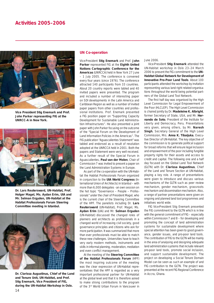

**Vice President Stig Enemark and Prof. John Parker representing FIG at the UNRCC-A in New York.**



**Dr. Lars Reutersward, UN-Habitat, Prof. Holger Magel, Ms. Aydan Erim, UIA and Mr. Selman Ergyden, UN-Habitat at the Habitat Professionals Forum Steering Committee meeting in Istanbul.**



**Dr. Clarissa Augustinus, Chief of the Land and Tenure Unit, UN-Habitat, and Prof. Stig Enemark, Vice President of FIG, during the UN-Habitat Workshop in Oslo.**

#### **UN Co-operation**

Vice-President **Stig Enemark** and Prof. **John Parker** represented FIG at the **Eighth United Nations Cartographic Conference for the Americas** (UNRCCA) held in New York 27 June – 1 July 2005. The conference is convened every four years (since 1976). The conference attracted 140 participants from 33 countries. About 20 country reports were tabled and 40 invited papers were presented. The program and included a number of interesting paper on SDI developments in the Latin America and Caribbean Region as well as a number of invited paper papers from other countries and professional institutions. Prof. Enemark presented a FIG position paper on "*Supporting Capacity Development for Sustainable Land Administration Infrastructures*". He also presented a joint paper with John Parker focusing on the outcome of the "*Special Forum on the Development of Land Information Policies in the Americas*". The FIG publication "Aguascalientes Statement" was tabled and endorsed as a result of resolution adopted at the UNRCCA held in 2001. Both the papers and Statement were very well received. As a further result of the Special Forum in Aguascalientes, **Paul van der Molen**, Chair of Commission 7 was invited to present a paper on the Land Administration Systems in Europe.

As part of the co-operation with the UN-Habitat the Habitat Professionals Forum organized in conjunction to the **UIA World Congress** (International Union of Architects) in Istanbul – with more than 6,000 delegates - an own session on the hot topic "*Governance – People – Professionals*" under the chair of President Magel, who is the current chair of the Steering Committee of the HPF. The panelists including Dr. **Lars Reutersward** (UN-Habitat), Prof. Magel, Ms. **Aydan Erim** (UIA) and Mr. **Selman Erguden** (UN-Habitat) discussed the changed roles of planners and architects as professionals in a changed world of increasing civil society, good governance principles and citizens who ask for more participation. It was summarized that more than ever professionals must be able to match these new challenges. Universities have to teach very early modern methods, instruments and skills in informal planning, moderation, mediation and even conflict management.

At the meeting of the **Steering Committee of the Habitat Professionals Forum** (HPF) the most inspiring outcome of the meeting was the clear expression of UN-Habitat representatives that the HPF is regarded as a very important professional partner for UN-Habitat at the global level and that it is therefore asked to make strong contributions to the program of the 3rd World Urban Forum in Vancouver in June 2006.

Vice-President **Stig Enemark** attended the UN-Habitat workshop in Oslo 23–24 March 2006 to present the FIG commitment to the **UN-Habitat Global Network for Development of Innovative Pro-Poor Land Tools**. About 100 participants attended the workshop by invitation representing various land right related organisations throughout the world being potential partners of the Global Land Tool Network.

The first half day was organised by the High Level Commission for Legal Empowerment of the Poor (HLCLEP). The High Level Commission is chaired jointly by Dr. **Madeleine K. Albright**, former Secretary of State, USA, and Mr. **Hernando de Soto**, President of the Institute for Liberty and Democracy, Peru. Presentations very given, among others, by Mr. **Naresh Singh**, Secretary General of the High Level Commission, Mrs. **Anna K. Tibaijuka**, Executive Director of UN-Habitat. The key objective of the commission is to generate political support for broad reforms that will ensure legal inclusion and empowerment of the poor including fungible property rights for their assets and access to credit and capital. The following one and a half day focused on the Global Land Tool Network (GLTN) with Dr. **Clarissa Augustinus**, Chief of the Land and Tenure Section at UN-Habitat, playing a key role. A range of presentations were given to introduce and discuss various mechanisms of the GLTN such as peer review mechanism, gender mechanism, grassroots mechanism and dissemination mechanism. Also, a range of partner presentations were given on ongoing and planned land tool programmes and initiatives world wide.

FIG Vice-President Stig Enemark presented the FIG commitment to the GLTN which is in line with the general commitment of FIG – especially within Commission 7 and 8 – for developing and promoting the concept of land administration systems for sustainable development where special attention has been given to good governance, gender issues, and pro-poor land tools. The contribution of FIG to the GLTN will be mainly in the area of analysing and designing adequate land administration systems that include relevant pro-poor land tools, promote social inclusion, and support sustainable development. The project on developing a Social Tenure Domain Model can be seen as such an example of and FIG contribution to the GLTN. The project was presented at the recent FIG Regional Conference in Accra, Ghana.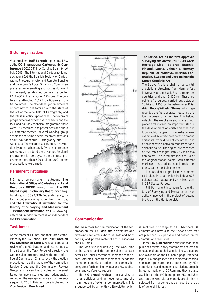#### **Sister organizations**

Vice President **Ralf Schroth** represented FIG at the **XXII International Cartographic Conference** (ICC2005) in A Coruña, Spain 9–16 July 2005. The International Cartographic Association (ICA), the Spanish Society for Cartography, Photogrammetry and Remote Sensing and the A Coruña Local Organizing Committee prepared an interesting and successful event in the newly established conference center PALEXCO in the harbor of A Coruña. The conference attracted 1,625 participants from 60 countries. The attendees got an excellent opportunity to get familiar with the state of the art of the wide field of Cartography and the latest scientific approaches. The technical programme was almost overloaded - during the four and half day technical programme there were 150 technical and poster sessions about 26 different themes, several working group sessions and some special technical sessions about ISO Standards, Cartography and SDI, Aerospace Technologies and European Navigation Systems. When totally five pre-conference workshops are added there was professional programme for 10 days. In the technical programme more than 500 oral and 200 poster presentations were made.

#### **Permanent Institutions**

FIG has three permanent institutions (**The International Office of Cadastre and Land Records – OICRF**, www.oicrf.org; **The FIG Multi-Lingual Dictionary Board**, www.bkg. bund.de/nn\_5594/EN/FederalAgency/InformationServices/fig\_node.html\_nnn=true; and **The International Institution for the History of Surveying and Measurement – Permanent Institution of FIG**, www.fig. net/hsm). In addition there is an independent the **FIG Foundation**.

#### **Task forces**

At the moment FIG has one task force established by the FIG Council. The **Task Force on FIG Governance Structure** shall conduct a review of the FIG Statutes and Internal Rules. In particular the Task Force will: review the Commission structure; review the term of office of Commission Chairs; review the election procedures including the role of the Nomination Review Group and the Commission Review Group; and review the Statutes and Internal Rules for inconsistencies and redundancies regarding the new governance structure subsequent to 2006. This task force is chaired by Vice President **Ken Allred**.



The Struve Arc as the first approved **surveying site on the UNESCO's World Heritage List – Belarus, Estonia, Finland, Latvia, Lithuania, Norway, Republic of Moldova, Russian Federation, Sweden and Ukraine host the Struve Geodetic Arc**

The Struve Arc is a chain of survey triangulations stretching from Hammerfest in Norway to the Black Sea, through ten countries and over 2,820km. These are points of a survey, carried out between 1816 and 1855 by the astronomer **Friedrich Georg Wilhelm Struve**, which represented the first accurate measuring of a long segment of a meridian. This helped establish the exact size and shape of our planet and marked an important step in the development of earth sciences and topographic mapping. It is an extraordinary example of scientific collaboration among scientists from different countries, and of collaboration between monarchs for a scientific cause. The original arc consisted of 258 main triangles with 265 main station points. The listed site includes 34 of the original station points, with different markings, i.e. a drilled hole in rock, iron cross, cairns, or built obelisks.

The World Heritage List now numbers 812 sites in total, which includes: 628 cultural; 160 natural and 24 mixed sites in 137 States Parties.

FIG Permanent Institution for the History of Surveying and Measurement was actively involved in the project of getting the Arc on the Heritage List.

#### **Communication**

The main tools for communication of the federation are the **FIG web site** www.fig.net and different newsletters (both as soft and hard copies) and printed material and publications and CD-Roms.

The web site includes e.g. the work plan of the Council and the commissions; contact details of Council members, member associations, affiliates, corporate members, academic members, commission officers and commission delegates; forthcoming events; and FIG publications and conference reports.

The **FIG annual review** – an overview of major activities and achievements and the main medium of external communication. This is supported by a monthly e-Newsletter which is sent free of charge to all subscribers. All commissions have also their newsletters that are published 1–2 per year and posted on the commission's web sites.

In the **FIG publications** series the federation publishes formal policy statements and ethical, educational and technical guidelines, these are also available on the FIG home page. Proceedings of FIG congresses and of selected technical seminars sponsored or co-sponsored by FIG's commissions and member associations are published normally on a CD-Rom and they are also available on the FIG home page. FIG publishes also on the web site a monthly article that is selected from a conference or event and that is of general interest.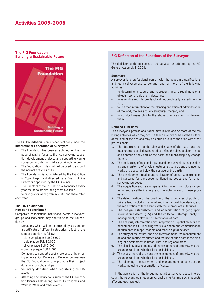#### **The FIG Foundation – Building a Sustainable Future**



The **FIG Foundation** is an independent body under the **International Federation of Surveyors**.

- The Foundation has been established for the purpose of raising funds to finance surveying education development projects and supporting young surveyors in order to build a sustainable future.
- The Foundation funds shall not be used to support the normal activities of FIG.
- The Foundation is administered by the FIG Office in Copenhagen and directed by a Board of five Directors appointed by the FIG Council.
- The Directors of the Foundation will announce every year the scholarships and grants available.

The first grants were given in 2002 and there after each year.

#### **The FIG Foundation –**

#### **How can I contribute?**

Companies, associations, institutions, events, surveyors' groups and individuals may contribute to the Foundation by:

- Donations which will be recognised by a plaque or a certificate of different categories reflecting the sum of donation as follows:
	- platinum plaque EUR 25,000
	- gold plaque EUR 10,000
	- silver plaque EUR 5,000
	- bronze plaque EUR 1,000.
- Donations to support specific projects or by offering scholarships. Donors and Benefactors may use the FIG Foundation logo to promote their project donations or scholarships.
- Voluntary donation when registering to FIG events.
- Attending social functions such as the FIG Foundation Dinners held during every FIG Congress and Working Week and other events.

#### **FIG Definition of the Functions of the Surveyor**

The definition of the functions of the surveyor as adopted by the FIG General Assembly in 2004:

#### **Summary**

A surveyor is a professional person with the academic qualifications and technical expertise to conduct one, or more, of the following activities;

- to determine, measure and represent land, three-dimensional objects, point-fields and trajectories;
- to assemble and interpret land and geographically related information,
- to use that information for the planning and efficient administration of the land, the sea and any structures thereon; and,
- to conduct research into the above practices and to develop them.

#### **Detailed Functions**

The surveyor's professional tasks may involve one or more of the following activities which may occur either on, above or below the surface of the land or the sea and may be carried out in association with other professionals.

- 1. The determination of the size and shape of the earth and the measurement of all data needed to define the size, position, shape and contour of any part of the earth and monitoring any change therein.
- 2. The positioning of objects in space and time as well as the positioning and monitoring of physical features, structures and engineering works on, above or below the surface of the earth.
- 3. The development, testing and calibration of sensors, instruments and systems for the above-mentioned purposes and for other surveying purposes.
- 4. The acquisition and use of spatial information from close range, aerial and satellite imagery and the automation of these processes.
- 5. The determination of the position of the boundaries of public or private land, including national and international boundaries, and the registration of those lands with the appropriate authorities.
- 6. The design, establishment and administration of geographic information systems (GIS) and the collection, storage, analysis, management, display and dissemination of data.
- 7. The analysis, interpretation and integration of spatial objects and phenomena in GIS, including the visualisation and communication of such data in maps, models and mobile digital devices.
- 8. The study of the natural and social environment, the measurement of land and marine resources and the use of such data in the planning of development in urban, rural and regional areas.
- 9. The planning, development and redevelopment of property, whether urban or rural and whether land or buildings.
- 10. The assessment of value and the management of property, whether urban or rural and whether land or buildings.
- 11. The planning, measurement and management of construction works, including the estimation of costs.

In the application of the foregoing activities surveyors take into account the relevant legal, economic, environmental and social aspects affecting each project.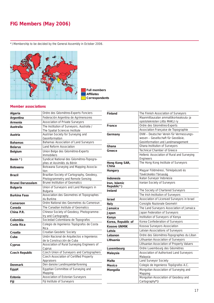#### **FIG Members (May 2006)**

\*) Membership to be decided by the General Assembly in October 2006.



 **Full members Affi liates Correspondents**

#### **Member associations**

| Algeria                  | Ordre des Géomètres-Experts Fonciers                                            |  |  |  |  |  |
|--------------------------|---------------------------------------------------------------------------------|--|--|--|--|--|
| Argentina                | Federación Argentina de Agrimensores                                            |  |  |  |  |  |
| Armenia                  | Association of Private Surveyors                                                |  |  |  |  |  |
| Australia                | The Institution of Surveyors, Australia /<br>The Spatial Sciences Institute     |  |  |  |  |  |
| Austria                  | Austrian Society for Surveying and<br>Geoinformation                            |  |  |  |  |  |
| <b>Bahamas</b>           | Bahamas Association of Land Surveyors                                           |  |  |  |  |  |
| <b>Belarus</b>           | Land Reform Association                                                         |  |  |  |  |  |
| <b>Belgium</b>           | Union Belge des Géomètres-Experts<br>Immobiliers                                |  |  |  |  |  |
| Benin *)                 | Syndicat National des Géomètres-Topogra-<br>phes et Assimilés du Bénin          |  |  |  |  |  |
| <b>Botswana</b>          | Botswana Surveying and Mapping Associa-<br>tion                                 |  |  |  |  |  |
| <b>Brazil</b>            | Brazilian Society of Cartography, Geodesy,<br>Photogrammetry and Remote Sensing |  |  |  |  |  |
| <b>Brunei Darussalam</b> | <b>Brunei Institution of Geomatics</b>                                          |  |  |  |  |  |
| <b>Bulgaria</b>          | Union of Surveyors and Land Managers in<br><b>Bulgaria</b>                      |  |  |  |  |  |
| <b>Burkina Faso</b>      | Association des Geometres et Topographes<br>du Burkina                          |  |  |  |  |  |
| Cameroon                 | Ordre National des Geometres du Cameroun                                        |  |  |  |  |  |
| Canada                   | The Canadian Institute of Geomatics                                             |  |  |  |  |  |
| China P.R.               | Chinese Society of Geodesy, Photogramme-<br>try and Cartography                 |  |  |  |  |  |
| Colombia                 | Sociedad Colombiana de Topografos                                               |  |  |  |  |  |
| Costa Rica               | Colegio de Ingenieros Topógrafos de Costa<br>Rica                               |  |  |  |  |  |
| Croatia                  | Croatian Geodetic Society                                                       |  |  |  |  |  |
| Cuba                     | Unión Nacional de Arquitectos e Ingenieros<br>de la Construcción de Cuba        |  |  |  |  |  |
| Cyprus                   | Association of Rural Surveying Engineers of<br>Cyprus                           |  |  |  |  |  |
| <b>Czech Republic</b>    | Czech Union of Surveyors and Cartographers                                      |  |  |  |  |  |
|                          | Czech Association of Certified Property<br>Appraisers                           |  |  |  |  |  |
| <b>Denmark</b>           | Den danske Landinspektørforening                                                |  |  |  |  |  |
| Eqypt                    | Egyptian Committee of Surveying and<br>Mapping                                  |  |  |  |  |  |
| Estonia                  | Association of Estonian Surveyors                                               |  |  |  |  |  |
| Fiji                     | Fiji Institute of Surveyors                                                     |  |  |  |  |  |

| <b>Finland</b>              | The Finnish Association of Surveyors        |  |  |  |  |  |
|-----------------------------|---------------------------------------------|--|--|--|--|--|
|                             | Maanmittausalan ammattikorkeakoulu- ja      |  |  |  |  |  |
|                             | opistoteknisten Liitto MAKLI ry             |  |  |  |  |  |
| France                      | Ordre des Géomètres-Experts                 |  |  |  |  |  |
|                             | Association Française de Topographie        |  |  |  |  |  |
| Germany                     | DVW - Deutscher Verein für Vermessungs-     |  |  |  |  |  |
|                             | wesen - Gesellschaft für Geodäsie,          |  |  |  |  |  |
|                             | Geoinformation und Landmanagement           |  |  |  |  |  |
| Ghana                       | Ghana Institution of Surveyors              |  |  |  |  |  |
| Greece                      | <b>Technical Chamber of Greece</b>          |  |  |  |  |  |
|                             | Hellenic Association of Rural and Surveying |  |  |  |  |  |
|                             | Engineers                                   |  |  |  |  |  |
| Hong Kong SAR,<br>China     | The Hong Kong Institute of Surveyors        |  |  |  |  |  |
| Hungary                     | Magyar Földméresi, Térképészeti és          |  |  |  |  |  |
|                             | Távérzkelési Társaság                       |  |  |  |  |  |
| Indonesia                   | Ikatan Surveyor Indonesia                   |  |  |  |  |  |
| Iran, Islamic<br>Republic*) | Iranian Society of Surveyors                |  |  |  |  |  |
| Ireland                     | The Society of Chartered Surveyors          |  |  |  |  |  |
|                             | The Irish Institution of Surveyors          |  |  |  |  |  |
| <b>Israel</b>               | Association of Licensed Surveyors in Israel |  |  |  |  |  |
| Italy                       | Consiglio Nazionale Geometri                |  |  |  |  |  |
| Jamaica                     | The Land Surveyors Association of Jamaica   |  |  |  |  |  |
| Japan                       | Japan Federation of Surveyors               |  |  |  |  |  |
| Kenya                       | Institution of Surveyors of Kenya           |  |  |  |  |  |
| Korea, Republic of          | Korea Confederation of Surveyors            |  |  |  |  |  |
| Kosovo UNMIK                | Kosova Surveyors Association                |  |  |  |  |  |
| Latvia                      | Latvian Associations of Surveyors           |  |  |  |  |  |
| Lebanon                     | Ordre des Géomètres-Topographes du Liban    |  |  |  |  |  |
| Lithuania                   | Lithuanian Association of Surveyors         |  |  |  |  |  |
|                             | Lithuanian Association of Property Valuers  |  |  |  |  |  |
| Luxembourg                  | Ordre Luxembourg des Géomètres              |  |  |  |  |  |
| Malaysia                    | Association of Authorised Land Surveyors    |  |  |  |  |  |
|                             | Malaysia                                    |  |  |  |  |  |
| Malta                       | Land Surveyor Society                       |  |  |  |  |  |
| Mexico                      | Colegio de Ingenieros Topógrafos A.C.       |  |  |  |  |  |
| Mongolia                    | Mongolian Association of Surveying and      |  |  |  |  |  |
|                             | Mapping                                     |  |  |  |  |  |
|                             | Mongolian Association of Geodesy and        |  |  |  |  |  |
|                             | Cartography*)                               |  |  |  |  |  |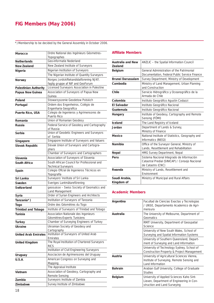#### **FIG Members (May 2006)**

\*) Membership to be decided by the General Assembly in October 2006.

| <b>Morocco</b>               | Ordre National des Ingénieurs Géometres-<br>Topographes             |  |  |  |  |
|------------------------------|---------------------------------------------------------------------|--|--|--|--|
| <b>Netherlands</b>           | Geo-informatie Nederland                                            |  |  |  |  |
| <b>New Zealand</b>           | New Zealand Institute of Surveyors                                  |  |  |  |  |
| Nigeria                      | Nigerian Institution of Surveyors                                   |  |  |  |  |
|                              | The Nigerian Institute of Quantity Surveyors                        |  |  |  |  |
| Norway                       | Norges Jordskiftekandidatforening NJKF,                             |  |  |  |  |
|                              | faglig gruppe af NIF and GeoForum                                   |  |  |  |  |
| <b>Palestinian Authority</b> | Licensed Surveyors Association in Palestine                         |  |  |  |  |
| Papua New Guinea             | Association of Surveyors of Papua New<br>Guinea                     |  |  |  |  |
| Poland                       | Stowarzyszenie Geodetow Polskich                                    |  |  |  |  |
| Portugal                     | Ordem dos Engenheiros, Colégio de<br>Engenharia Geografica          |  |  |  |  |
| Puerto Rico, USA             | Colegio de Ingenieros y Agrimensores de<br>Puerto Rico              |  |  |  |  |
| Romania                      | Union of Romanian Geodesy                                           |  |  |  |  |
| Russia                       | Federal Service of Geodesy and Cartography<br>of Russia             |  |  |  |  |
| Serbia                       | Union of Geodetic Engineers and Surveyors<br>of Serbia              |  |  |  |  |
| Singapore                    | Singapore Institute of Surveyors and Valuers                        |  |  |  |  |
| <b>Slovak Republic</b>       | Slovak Union of Surveyors and Cartogra-                             |  |  |  |  |
|                              | phers                                                               |  |  |  |  |
|                              | Chamber of Surveyors and Cartographers                              |  |  |  |  |
| Slovenia                     | Association of Surveyors of Slovenia                                |  |  |  |  |
| South Africa                 | South African Council for Professional and<br>Technical Surveyors   |  |  |  |  |
| Spain                        | Colegio Oficial de Ingenieros Técnicos en<br>Topografía             |  |  |  |  |
| Sri Lanka                    | Surveyors' Institute of Sri Lanka                                   |  |  |  |  |
| Sweden                       | Sveriges Lantmätareförening                                         |  |  |  |  |
| <b>Switzerland</b>           | geosuisse - Swiss Society of Geomatics and<br>Land Management       |  |  |  |  |
| Syria                        | Order of Syrian Engineers and Architects                            |  |  |  |  |
| Tanzania*)                   | Institution of Surveyors of Tanzania                                |  |  |  |  |
| <b>Togo</b>                  | Ordre des Géomètres du Togo                                         |  |  |  |  |
| <b>Trinidad and Tobago</b>   | Institute of Surveyors of Trinidad and Tobago                       |  |  |  |  |
| Tunisia                      | Association Nationale des Ingenieurs<br>Géomètres-Experts Tunisiens |  |  |  |  |
| <b>Turkey</b>                | Chamber of Surveying Engineers of Turkey                            |  |  |  |  |
| Ukraine                      | Ukrainian Society of Geodesy and                                    |  |  |  |  |
|                              | Cartography<br>Institution of Surveyors of United Arab              |  |  |  |  |
| <b>United Arab Emirates</b>  | Emirates                                                            |  |  |  |  |
| <b>United Kingdom</b>        | The Royal Institution of Chartered Surveyors                        |  |  |  |  |
|                              | <b>RICS</b>                                                         |  |  |  |  |
|                              | Institution of Civil Engineering Surveyors                          |  |  |  |  |
| Uruguay                      | Asociacion de Agrimensores del Uruguay                              |  |  |  |  |
| U.S.A.                       | American Congress on Surveying and                                  |  |  |  |  |
|                              | Mapping                                                             |  |  |  |  |
|                              | The Appraisal Institute<br>Association of Geodesy, Cartography and  |  |  |  |  |
| Vietnam                      | Remote Sensing                                                      |  |  |  |  |
| Zambia                       | Surveyors Institute of Zambia                                       |  |  |  |  |
| Zimbabwe                     | Survey Institute of Zimbabwe                                        |  |  |  |  |

#### **Affiliate Members**

| <b>Australia and New</b><br><b>Zealand</b> | ANZLIC - the Spatial Information Council                                                                         |  |  |  |  |  |
|--------------------------------------------|------------------------------------------------------------------------------------------------------------------|--|--|--|--|--|
| <b>Belgium</b>                             | General Administration of the Patrimonial<br>Documentation, Federal Public Service Finance                       |  |  |  |  |  |
| <b>Brunei Darussalam</b>                   | Survey Department, Ministry of Development                                                                       |  |  |  |  |  |
| Cambodia                                   | Ministry of Land Management, Urban Planning<br>and Construction                                                  |  |  |  |  |  |
| Chile                                      | Servicio Hidrográfico y Oceanográfico de la<br>Armada de Chile                                                   |  |  |  |  |  |
| Colombia                                   | Instituto Geográfico Agustin Codazzi                                                                             |  |  |  |  |  |
| <b>El Salvador</b>                         | Instituto Geográfico Nacional                                                                                    |  |  |  |  |  |
| Guatemala                                  | Instituto Geográfico Nacional                                                                                    |  |  |  |  |  |
| Hungary                                    | Institute of Geodesy, Cartography and Remote<br>Sensing (FÖMI)                                                   |  |  |  |  |  |
| <b>Iceland</b>                             | The Land Registry of Iceland                                                                                     |  |  |  |  |  |
| Jordan                                     | Department of Lands & Survey,<br>Ministry of Finance                                                             |  |  |  |  |  |
| <b>Mexico</b>                              | National Institute of Statistics, Geography and<br>Informatics (INEGI)                                           |  |  |  |  |  |
| Namibia                                    | Office of the Surveyor General, Ministry of<br>Lands, Resettlement and Rehabilitation                            |  |  |  |  |  |
| <b>Nepal</b>                               | HMG Survey Department, Nepal                                                                                     |  |  |  |  |  |
| Peru                                       | Sistema Nacional Integrado de Información<br>Catastral Predial (SINICAP) / Consejo Nacional<br>de Catastro (CNC) |  |  |  |  |  |
| Rwanda                                     | Ministry of Lands, Resettlement and<br>Environment                                                               |  |  |  |  |  |
| Saudi Arabia.<br>Kingdom of                | Ministry of Municipal and Rural Affairs                                                                          |  |  |  |  |  |

#### **Academic Members**

| Argentina      | Facultad de Ciencias Exactas y Tecnologias<br>/ UNSE, Departamento Academico de Agri-<br>mensura                       |  |  |  |  |  |
|----------------|------------------------------------------------------------------------------------------------------------------------|--|--|--|--|--|
| Australia      | The University of Melbourne, Department of<br>Geomatics                                                                |  |  |  |  |  |
|                | RMIT University, Department of Geospatial<br>Science                                                                   |  |  |  |  |  |
|                | University of New South Wales, School of<br>Surveying and Spatial Information Systems                                  |  |  |  |  |  |
|                | University of Southern Queensland, Depart-<br>ment of Surveying and Land Information                                   |  |  |  |  |  |
|                | University of Technology Sydney, School of<br>Construction Property & Project Management                               |  |  |  |  |  |
| Austria        | University of Agricultural Sciences Vienna,<br>Institute of Surveying, Remote Sensing and<br>Land Information          |  |  |  |  |  |
| <b>Bahrain</b> | Arabian Gulf University, College of Graduate<br><b>Studies</b>                                                         |  |  |  |  |  |
| <b>Belgium</b> | University of Applied Sciences Kaho Sint-<br>Lieven, Department of Engineering in Con-<br>struction and Land Surveying |  |  |  |  |  |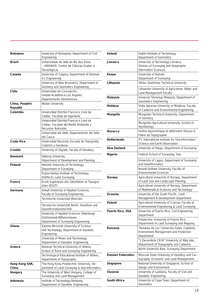| <b>Botswana</b>             | University of Botswana, Department of Civil<br>Engineering                                       |  |  |
|-----------------------------|--------------------------------------------------------------------------------------------------|--|--|
| <b>Brazil</b>               | Universidade do Vale do Rio dos Sinos<br>- UNISINOS, Centro de Ciências Exatas e<br>Tecnológicas |  |  |
| Canada                      | University of Calgary, Department of Geomat-                                                     |  |  |
|                             | ics Engineering                                                                                  |  |  |
|                             | University of New Brunswick, Department of                                                       |  |  |
|                             | Geodesy and Geomatics Engineering                                                                |  |  |
| Chile                       | Universidad de Concepción,                                                                       |  |  |
|                             | Unidad Académica Los Angeles,                                                                    |  |  |
|                             | Departamento Geomensura                                                                          |  |  |
| China, People's<br>Republic | Wuhan University                                                                                 |  |  |
| Colombia                    | Universidad Distrital Francisco José de                                                          |  |  |
|                             | Caldas, Facultad de Ingeniería                                                                   |  |  |
|                             | Universidad Distrital Francisco José de                                                          |  |  |
|                             | Caldas, Facultad del Medio Ambiente y                                                            |  |  |
|                             | <b>Recursos Naturales</b>                                                                        |  |  |
|                             | Universidad del Valle, Departamento del Valle<br>del Cauca                                       |  |  |
| Costa Rica                  | Universidad Nacional, Escuela de Topografía,                                                     |  |  |
|                             | Catastro y Geodesia                                                                              |  |  |
| Croatia                     | University of Zagreb, Faculty of Geodesy                                                         |  |  |
| <b>Denmark</b>              | Aalborg University,                                                                              |  |  |
|                             | Department of Development and Planning                                                           |  |  |
| <b>Finland</b>              | Helsinki University of Technology,                                                               |  |  |
|                             | Department of Surveying                                                                          |  |  |
|                             | Espoo-Vantaa Institute of Technology                                                             |  |  |
|                             | (EVITech), Land Surveying                                                                        |  |  |
| France                      | Ecole Supérieure des Géomètres et Topogra-<br>phes (ESGT)                                        |  |  |
| Germany                     | Anhalt University of Applied Sciences,                                                           |  |  |
|                             | Faculty of Surveying Engineering                                                                 |  |  |
|                             | Technische Universität München                                                                   |  |  |
|                             | Technische Universität Berlin, Geodäsie und                                                      |  |  |
|                             | Geoinformationstechnik                                                                           |  |  |
|                             | University of Applied Sciences Oldenburg/                                                        |  |  |
|                             | Ostfriesland/Wilhemshaven,                                                                       |  |  |
|                             | Department of Surveying Engineering                                                              |  |  |
| Ghana                       | Kwame Nkrumah University of Science                                                              |  |  |
|                             | and Technology, Department of Geodetic<br>Engineering                                            |  |  |
|                             | University of Mines and Technology,                                                              |  |  |
|                             | Department of Geodetic Engineering                                                               |  |  |
| Greece                      | National Technical University of Athens,                                                         |  |  |
|                             | School of Rural and Surveying Engineering                                                        |  |  |
|                             | Technological Educational Institute of Athens,                                                   |  |  |
|                             | Department of Topography                                                                         |  |  |
| Hong Kong SAR,              | The Hong Kong Polytechnic University, De-                                                        |  |  |
| China                       | partment of Land Surveying & Geo-Informatics                                                     |  |  |
| Hungary                     | The University of West Hungary, College of                                                       |  |  |
|                             | Surveying and Land Management                                                                    |  |  |
| Indonesia                   | Institute of Technology Bandung,                                                                 |  |  |
|                             | Department of Geodetic Engineering                                                               |  |  |

| Ireland                   | Dublin Institute of Technology,<br>Department of Geomatics                                  |  |  |  |  |  |
|---------------------------|---------------------------------------------------------------------------------------------|--|--|--|--|--|
| Jamaica                   | University of Technology Jamaica,                                                           |  |  |  |  |  |
|                           | Division of Surveying and Geographic<br><b>Information Sciences</b>                         |  |  |  |  |  |
|                           |                                                                                             |  |  |  |  |  |
| Kenya                     | University of Nairobi,<br>Department of Surveying                                           |  |  |  |  |  |
| Lithuania                 | Vilnius Gediminas Technical University                                                      |  |  |  |  |  |
|                           | Lithuanian University of Agriculture, Water and                                             |  |  |  |  |  |
|                           | Land Management Faculty                                                                     |  |  |  |  |  |
| Malaysia                  | Universiti Teknologi Malaysia, Department of                                                |  |  |  |  |  |
|                           | <b>Geomatics Engineering</b>                                                                |  |  |  |  |  |
| Moldova                   | State Agrarian University of Moldova, Faculty<br>of Cadastre and Environmental Engineering  |  |  |  |  |  |
| Mongolia                  | Mongolian Technical University, Department                                                  |  |  |  |  |  |
|                           | of Geodesy                                                                                  |  |  |  |  |  |
|                           | Mongolian Agricultural University, School of<br>Agrobiology                                 |  |  |  |  |  |
| <b>Morocco</b>            | Institut Agronomique et Vétèrinaire Hassan II,                                              |  |  |  |  |  |
|                           | Filière de Topographie                                                                      |  |  |  |  |  |
| <b>Netherlands</b>        | <b>ITC International Institute for Geo-Information</b><br>Science and Earth Observation     |  |  |  |  |  |
| <b>New Zealand</b>        | University of Otago, Department of Surveying                                                |  |  |  |  |  |
| Nigeria                   | Federal School of Surveying, Oyo                                                            |  |  |  |  |  |
|                           | University of Lagos, Department of Surveying                                                |  |  |  |  |  |
|                           | and Geoinformatics                                                                          |  |  |  |  |  |
|                           | Nnandi Azikiwe University, Faculty of                                                       |  |  |  |  |  |
|                           | <b>Environmental Sciences</b>                                                               |  |  |  |  |  |
| Norway                    | Agricultural University of Norway, Department                                               |  |  |  |  |  |
|                           | of Land Use and Landscape Planning<br>Agricultural University of Norway, Department         |  |  |  |  |  |
|                           | of Mathematical Sciences and Technology                                                     |  |  |  |  |  |
| Oceania                   | University of the South Pacific, Land                                                       |  |  |  |  |  |
|                           | Management & Development Department                                                         |  |  |  |  |  |
| Poland                    | Agricultural University of Cracow, Faculty of<br>Environmental Engineering & Land Surveying |  |  |  |  |  |
| Puerto Rico, USA          | University of Puerto Rico, Civil Engineering<br>Department                                  |  |  |  |  |  |
|                           | Polytechnic University of Puerto Rico,                                                      |  |  |  |  |  |
|                           | Department of Land Surveying and Mapping                                                    |  |  |  |  |  |
| Romania                   | "Dunarea de Jos" University Galati, Cadastre,                                               |  |  |  |  |  |
|                           | Environment Management and Protection                                                       |  |  |  |  |  |
|                           | Department<br>"1 Decembrie 1918" University of Alba Iulia,                                  |  |  |  |  |  |
|                           | Department of Topography and Cadastre                                                       |  |  |  |  |  |
|                           | North University Baia, Surveying Department                                                 |  |  |  |  |  |
| <b>Russian Federation</b> | Moscow State University of Geodesy and Car-                                                 |  |  |  |  |  |
|                           | tography, Economic and Land Management                                                      |  |  |  |  |  |
| Singapore                 | National University of Singapore, School of<br>Design and Environment                       |  |  |  |  |  |
| Slovenia                  | University of Ljubljana, Faculty of Civil and                                               |  |  |  |  |  |
|                           | Geodetic Engineering                                                                        |  |  |  |  |  |
| South Africa              | University of Cape Town, Department of<br>Geomatics                                         |  |  |  |  |  |
|                           |                                                                                             |  |  |  |  |  |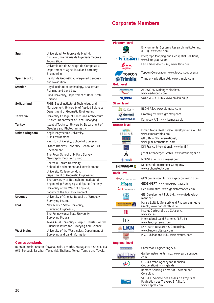| Spain                 | Universidad Politécnica de Madrid,<br>Escuela Universitaria de Ingeniería Técnica<br>Topográfica                            |  |  |  |  |  |
|-----------------------|-----------------------------------------------------------------------------------------------------------------------------|--|--|--|--|--|
|                       | Universidade de Santiago de Compostela,<br>Department of Agricultural and Forestry<br>Engineering                           |  |  |  |  |  |
| Spain (cont.)         | Institut de Geomàtica, Integrated Geodesy<br>and Navigation                                                                 |  |  |  |  |  |
| Sweden                | Royal Institute of Technology, Real Estate<br>Planning and Land Law                                                         |  |  |  |  |  |
|                       | Lund University, Department of Real Estate<br>Science                                                                       |  |  |  |  |  |
| <b>Switzerland</b>    | FHBB Basel Institute of Technology and<br>Management, University of Applied Sciences,<br>Department of Geomatic Engineering |  |  |  |  |  |
| <b>Tanzania</b>       | University College of Lands and Architectural<br>Studies, Department of Land Surveying                                      |  |  |  |  |  |
| <b>Turkey</b>         | Istanbul Technical University, Department of<br>Geodesy and Photogrammetry                                                  |  |  |  |  |  |
| <b>United Kingdom</b> | Anglia Polytechnic University,<br><b>Built Environment</b>                                                                  |  |  |  |  |  |
|                       | Kingston University, School of Surveying                                                                                    |  |  |  |  |  |
|                       | Oxford Brookes University, School of Built<br>Environment                                                                   |  |  |  |  |  |
|                       | The Royal School of Military Survey,                                                                                        |  |  |  |  |  |
|                       | Geographic Engineer Group                                                                                                   |  |  |  |  |  |
|                       | Sheffield Hallam University,                                                                                                |  |  |  |  |  |
|                       | School of Environment and Development                                                                                       |  |  |  |  |  |
|                       | University College London,<br>Department of Geomatic Engineering                                                            |  |  |  |  |  |
|                       | The University of Nottingham, Institute of                                                                                  |  |  |  |  |  |
|                       | Engineering Surveying and Space Geodesy                                                                                     |  |  |  |  |  |
|                       | University of the West of England,                                                                                          |  |  |  |  |  |
|                       | Faculty of the Built Environment                                                                                            |  |  |  |  |  |
| Uruguay               | University of Oriental Republic of Uruguay,                                                                                 |  |  |  |  |  |
|                       | Surveying Institute                                                                                                         |  |  |  |  |  |
| USA                   | New Mexico State University,                                                                                                |  |  |  |  |  |
|                       | Surveying Engineering                                                                                                       |  |  |  |  |  |
|                       | The Pennsylvania State University,<br>Surveying Program                                                                     |  |  |  |  |  |
|                       | Texas A&M University - Corpus Christi, Conrad                                                                               |  |  |  |  |  |
|                       | Blucher Institute for Surveying and Science                                                                                 |  |  |  |  |  |
| <b>West Indies</b>    | University of the West Indies, Department of<br>Surveying and Land Information                                              |  |  |  |  |  |

#### **Correspondents**

Bahrain, Benin, Bhutan, Guyana, India, Lesotho, Madagascar, Saint Lucia (WI), Senegal, Zanzíbar (Tanzania), Thailand, Tonga, Tunisia and Tuvalu.

#### **Corporate Members**

| <b>Platinum level</b>          |                                                                           |  |  |  |  |  |
|--------------------------------|---------------------------------------------------------------------------|--|--|--|--|--|
|                                | Environmental Systems Research Institute, Inc.<br>(ESRI), www.esri.com    |  |  |  |  |  |
| <b>INTERGRAPH</b>              | Intergraph Mapping and Geospatial Solutions,<br>www.intergraph.com        |  |  |  |  |  |
| Leica<br><b>Geosystems</b>     | Leica Geosystems AG, www.leica.com                                        |  |  |  |  |  |
| <b>TOPCON</b>                  | Topcon Corporation, www.topcon.co.jp/eng/                                 |  |  |  |  |  |
| <b>Example</b>                 | Trimble Navigation Ltd, www.trimble.com                                   |  |  |  |  |  |
| Gold level                     |                                                                           |  |  |  |  |  |
| <b>AED BICAD</b>               | AED-SICAD Aktiengesellschaft,<br>www.aed-sicad.com                        |  |  |  |  |  |
| <b>SOKKIN</b>                  | SOKKIA CO., LTD., www.sokkia.co.jp                                        |  |  |  |  |  |
| <b>Silver level</b>            |                                                                           |  |  |  |  |  |
| $BLOM_{\tiny\rm PFT}$          | BLOM ASA, www.blomasa.com                                                 |  |  |  |  |  |
| <b>Av</b> Grontmij             | Grontmij nv, www.grontmij.com                                             |  |  |  |  |  |
| <b>KAMPSAX</b>                 | Kampsax A/S, www.kampsax.dk                                               |  |  |  |  |  |
| <b>Bronze level</b>            |                                                                           |  |  |  |  |  |
| <b>EIMAR</b>                   | Eimar Arabia Real Estate Development Co. Ltd.,<br>www.eimararabia.com     |  |  |  |  |  |
|                                | GITC Bv - GIM International,                                              |  |  |  |  |  |
|                                | www.gim-international.com                                                 |  |  |  |  |  |
|                                | IGN France International, www.ignfi.fr                                    |  |  |  |  |  |
|                                | Josef Attenberger GmbH, www.attenberger.de                                |  |  |  |  |  |
| <b>ENENSI</b>                  | MENSI S. A., www.mensi.com                                                |  |  |  |  |  |
| <b>SCHONSTEDT ST</b>           | Schonstedt Instrument Company,<br>www.schonstedt.com                      |  |  |  |  |  |
|                                |                                                                           |  |  |  |  |  |
| <b>Basic level</b>             |                                                                           |  |  |  |  |  |
| <b>GEO</b> : connexion         | GEO:connexion Ltd, www.geoconnexion.com                                   |  |  |  |  |  |
| .geo <sub>expert</sub>         | GEOEXPERT, www.geoexpert.asso.fr                                          |  |  |  |  |  |
| <b>GEO</b> Informatics         | GeoInformatics, www.geoinformatics.com                                    |  |  |  |  |  |
|                                | GIS Development Pvt. Ltd., www.gisdevelop-<br>ment.net                    |  |  |  |  |  |
| Hansa Luftbild (               | Hansa Luftbild Sensorik und Photogrammetrie<br>GmbH, www.hansaluftbild.de |  |  |  |  |  |
| $\textcolor{red}{\textbf{10}}$ | Institut Cartogràfic de Catalunya,<br>www.icc.es                          |  |  |  |  |  |
| ĪLS                            | International Land Systems (ILS), Inc.,<br>www.landsystems.com            |  |  |  |  |  |
| LKN                            | LKN Earth Research & Consulting,<br>www.lknconsultants.com                |  |  |  |  |  |
|                                | P.V. Publications Ltd., www.pvpubs.com                                    |  |  |  |  |  |
| <b>Regional level</b>          |                                                                           |  |  |  |  |  |
| CAMEROON ENGINEERING S.A.      | Cameroon Engineering S.A.                                                 |  |  |  |  |  |
|                                | Galileo Instruments, Inc., www.earthsurface.<br>com                       |  |  |  |  |  |
| qv                             | GTZ (German Agency for Technical<br>Cooperation), www.gtz.de              |  |  |  |  |  |
|                                | Remote Sensing Center of Environment<br>Consulting                        |  |  |  |  |  |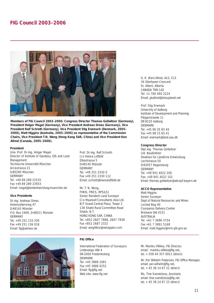#### **FIG Council 2003–2006**



**Members of FIG Council 2003–2006: Congress Director Thomas Gollwitzer (Germany), President Holger Magel (Germany), Vice President Andreas Drees (Germany), Vice President Ralf Schroth (Germany), Vice President Stig Enemark (Denmark, 2005– 2008), Matt Higgins (Australia, 2005–2006) as representative of the Commission Chairs, Vice President T.N. Wong (Hong Kong SAR, China) and Vice President Ken Allred (Canada, 2005–2008).**

#### **President**

Univ. Prof. Dr.-Ing. Holger Magel Director of Institute of Geodesy, GIS and Land Management Technische Universität München Arcisstrasse 21 D-80290 München GERMANY Tel. +49 89 289 22535 Fax +49 89 289 23933 Email: magel@landentwicklung-muenchen.de

#### **Vice Presidents**

Dr.-Ing. Andreas Drees Hohenzollernring 47 D-48145 Münster P.O. Box 2409, D-48011 Münster GERMANY Tel. +49 251 133 330 Fax +49 251 136 018 Email: fig@adrees.de



Prof. Dr.-Ing. Ralf Schroth c/o Hansa Luftbild Elbestrasse 5 D-48145 Münster GERMANY  $Tel + 49$  251 2330 0 Fax +49 251 2330 112 Email: schroth@hansaluftbild.de

Mr. T. N. Wong, FHKIS, FRICS, RPS(LS) Senior Resident Land Surveyor C/o Maunsell Consultants Asia Ltd. 8/F Grand Central Plaza. Tower 2 138 Shatin Rural Committee Road Shatin, N.T. HONG KONG SAR, CHINA Tel. +852 2607 7888, 2607 7838 Fax +852 2687 2322 Email: wing98nz@netvigator.com

#### **FIG Office**

International Federation of Surveyors Lindevangs Allé 4 DK-2000 Frederiksberg DENMARK Tel. +45 3886 1081 Fax +45 3886 0252 Email: fig@fig.net Web site: www.fig.net

G. K. (Ken) Allred, ALS, CLS 34 Glenhaven Crescent St. Albert, Alberta CANADA T8N 1A5 Tel. +1 780 460 2224 Email: gkallred@telusplanet.net

Prof. Stig Enemark University of Aalborg Institute of Development and Planning Fibigerstraede 11 DK-9220 Aalborg DENMARK Tel. +45 96 35 83 44 Fax +45 98 15 65 41 Email: enemark@land.aau.dk

#### **Congress Director**

Dipl.-Ing. Thomas Gollwitzer Ltd. Baudirektor Direktion für Ländliche Entwicklung Lechstrasse 50 D-93057 Regensburg GERMANY Tel. +49 941 4022 200 Fax: +49 941 4022 101 Email: thomas.gollwitzer@ale-opf.bayern.de

#### **ACCO Representative**

Matt Higgins Senior Surveyor Dept of Natural Resources and Mines Locked Bag 40 Coorparoo Delivery Centre Brisbane Qld 4151 AUSTRALIA Tel. +61 7 3896 3754 Fax +61 7 3891 5168 Email: matt.higgins@nrm.qld.gov.au

Mr. Markku Villikka, FIG Director, email: markku.villikka@fig.net, tel. + 358 44 357 0911 (direct)

Mr. Per Wilhelm Pedersen, FIG Office Manager, email: per.wilhelm@fig.net, tel. + 45 38 14 67 22 (direct)

Ms. Tine Svendstorp, Assistant, email: tine.svendstorp@fig.net tel. + 45 38 14 67 23 (direct)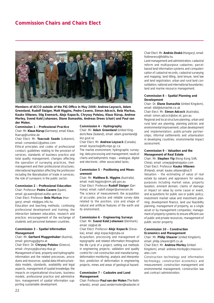

Members of ACCO outside of the FIG Office in May 2006: Andrew Leyzack, Adam **Greenland, Rudolf Staiger, Matt Higgins, Pedro Cavero, Simon Adcock, Bela Markus, Kauko Viitanen, Stig Enemark, Alojz Kopacik, Chryssy Potsiou, Klaus Rürup, Andrew Morley, Svend Kold Johansen, Diane Dumashie, Andreas Drees (chair) and Paul van der Molen.**

#### **Commission 1 – Professional Practice**

*Chair: Mr. Klaus Rürup (Germany), email: Klaus. Ruerup@t-online.de*

#### *Chair Elect: Mr. Yaacoub Saade (Lebanon), email: comandoo1@yahoo.com*

Ethical principles and codes of professional conduct; guidelines relating to the provision of services; standards of business practice and total quality management; changes affecting the operation of surveying practices, their management and their professional structures; international legislation affecting the profession including the liberalisation of trade in services; the role of surveyors in the public sector.

#### **Commission 2 – Professional Education**

*Chair: Professor Pedro Cavero (Spain), email: pjcavero@nivel.euitto.upm.es Chair Elect: Professor Bela Markus (Hungary), email: mb@geo.info.hu*

Education and teaching methods; continuing professional development and training; the interaction between education, research and practice; encouragement of the exchange of students and personnel between countries.

#### **Commission 3 – Spatial Information Management**

#### *Chair: Mr. Gerhard Muggenhuber (Austria), email: geomugg@gmx.at*

#### *Chair Elect: Dr. Chryssy Potsiou (Greece), email: chryssyp@survey.ntua.gr*

Management of land, property and hydrographic information and the related processes, procedures and resources; spatial data infrastructure– data models, standards, availability and legal aspects, management of spatial knowledge; the impacts on organisational structures, business models, professional practice and administration; management of spatial information supporting sustainable development.

#### **Commission 4 – Hydrography**

*Chair: Mr. Adam Greenland (United Kingdom/New Zealand), email: adam.greenland@ linz.govt.nz*

*Chair Elect: Mr. Andrew Leyzack (Canada), email: leyzacka@dfo-mpo.gc.ca*

The marine environment; hydrographic surveying; data processing and management; nautical charts and bathymetric maps – analogue, digital and electronic; other associated tasks.

#### **Commission 5 – Positioning and Measurement**

*Chair: Mr. Matthew B. Higgins (Australia), email: matt.higgins@nrm.qld.gov.au Chair Elect: Professor Rudolf Staiger (Germany), email: rudolf.staiger@uni-essen.de* The science of measurement; the acquisition of accurate, precise and reliable survey data related to the position, size and shape of natural and artificial features of the earth and its environment.

#### **Commission 6 – Engineering Surveys**

*Chair: Mr. Svend Kold Johansen (Denmark), email: skj@vd.dk*

*Chair Elect: Professor Alojz Kopacik (Slovakia), email: alojz.kopacik@stuba.sk*

Acquisition, processing and management of topographic and related information throughout the life cycle of a project; setting out methods in engineering projects; validation and quality control for civil construction and manufacturing; deformation monitoring, analysis and interpretation; prediction of deformation in engineering projects, mines and areas of geological hazard.

#### **Commission 7 – Cadastre and Land Management**

*Chair: Professor Paul van der Molen (The Netherlands), email: paul.vandermolen@kadaster.nl*

#### *Chair Elect: Mr. András Osskó (Hungary), email: foldmeresv@foldhiv.hu*

Land management and administration; cadastral reform and multi-purpose cadastres; parcelbased land information systems and computerisation of cadastral records; cadastral surveying and mapping; land titling, land tenure, land law and land registration; urban and rural land consolidation; national and international boundaries; land and marine resource management.

#### **Commission 8 – Spatial Planning and Development**

*Chair: Dr. Diane Dumashie (United Kingdom), email: ddd@dumashie.co.uk*

*Chair Elect: Mr. Simon Adcock (Australia), email: simon.adcock@dse.vic.gov.au*

Regional and local structure planning; urban and rural land use planning; planning policies and environmental improvement; urban development and implementation; public-private partnerships; informal settlements and urbanisation in developing countries; environmental impact assessment.

#### **Commission 9 – Valuation and the Management of Real Estate**

*Chair: Mr. Stephen Yip (Hong Kong SAR, China), email: smwyip@netvigator.com Chair Elect: Professor Kauko Viitanen ( Finland), email: kauko.viitanen@hut.fi*  Valuation – the estimating of value of real estate by valuers and appraisers for various purposes including market value, property taxation, eminent domain, claims of damage or impact on value by some cause or event, and acquisitions for public use or public policy; investment market value and investment planning; development finance, land use feasibility planning; management of property, as a single asset or by management companies; management of property systems to ensure efficient use of public and private resources; management of public sector property.

#### **Commission 10 – Construction Economics and Management**

*Chair: Mr. Philip Shearer (United Kingdom), email: philip.shearer@rlf.co.uk* 

*Chair Elect: Mr. Andrew Morley (United* 

*Kingdom), email: andrew.morley@ccmassociates.com*

Construction technology and information technology; construction economics and measurement; construction management and environmental management; construction law and contract administration.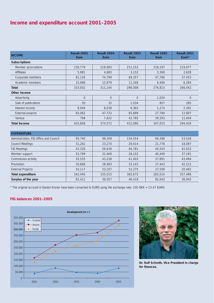#### **Income and expenditure account 2001–2005**

| <b>INCOME</b>        | Result 2005<br><b>Euro</b> | Result 2004<br><b>Euro</b> | <b>Result 2003</b><br><b>Euro</b> | Result 2002<br><b>Euro</b> | Result 2001<br>Euro <sup>1</sup> |
|----------------------|----------------------------|----------------------------|-----------------------------------|----------------------------|----------------------------------|
| <b>Subscriptions</b> |                            |                            |                                   |                            |                                  |
| Member associations  | 230,779                    | 218,683                    | 212,153                           | 216,197                    | 219,977                          |
| <b>Affiliates</b>    | 5,981                      | 4,683                      | 3,152                             | 3,369                      | 2,628                            |
| Corporate members    | 81,156                     | 74,799                     | 69,357                            | 47,766                     | 37,453                           |
| Academic members     | 15,086                     | 12,979                     | 11,346                            | 9.484                      | 6,384                            |
| <b>Total</b>         | 333,002                    | 311,144                    | 296,008                           | 276,815                    | 266,442                          |
| Other income         |                            |                            |                                   |                            |                                  |
| Advertising          | $\overline{0}$             | $\overline{0}$             | $\overline{0}$                    | 1,034                      | $\overline{0}$                   |
| Sale of publications | 50                         | 35                         | 1,034                             | 857                        | 285                              |
| Interest income      | 8,944                      | 8,038                      | 6,364                             | 1,274                      | 2,391                            |
| External projects    | 83,062                     | 47,733                     | 65,899                            | 27,780                     | 12,907                           |
| Various              | 798                        | 7,622                      | 42,785                            | 39,293                     | 12,404                           |
| <b>Total Income</b>  | 425,856                    | 374,572                    | 412,090                           | 347,053                    | 294,429                          |

| <b>EXPENDITURE</b>                     |         |         |         |         |         |
|----------------------------------------|---------|---------|---------|---------|---------|
| Administration, FIG Office and Council | 95,740  | 98,309  | 134,554 | 69,398  | 53,526  |
| <b>Council Meetings</b>                | 31,262  | 23,270  | 29,414  | 21,778  | 18,087  |
| <b>FIG Meetings</b>                    | 43,326  | 56,639  | 46,781  | 40,543  | 42,633  |
| Member support                         | 55,799  | 32,469  | 28,102  | 40,449  | 37,181  |
| Commission activity                    | 35,535  | 43,238  | 41,403  | 37,891  | 43,464  |
| Promotion                              | 30,666  | 28,483  | 33,143  | 27,443  | 42,212  |
| <b>External Projects</b>               | 50,117  | 53,107  | 52,275  | 27,508  | 20,482  |
| <b>Total expenditure</b>               | 342,445 | 335,515 | 365,672 | 265,010 | 257,486 |
| Surplus of the year                    | 83,411  | 39,057  | 46,418  | 82,043  | 36,943  |

<sup>1)</sup> The original account in Danish Kroner have been converted to EURO using the exchange rate: 100 DKK = 13.47 EURO.

#### **FIG balances 2001–2005**





**Dr. Ralf Schroth, Vice President in charge**  for finances.